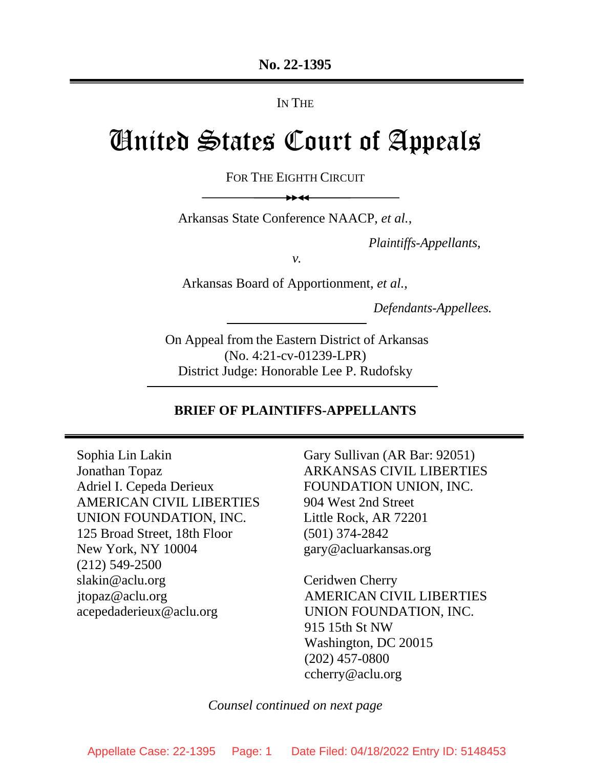## IN THE

# United States Court of Appeals

FOR THE EIGHTH CIRCUIT

Arkansas State Conference NAACP, *et al.*,

 $\rightarrow$ 

*Plaintiffs-Appellants*,

*v.*

Arkansas Board of Apportionment, *et al.*,

*Defendants-Appellees.*

On Appeal from the Eastern District of Arkansas (No. 4:21-cv-01239-LPR) District Judge: Honorable Lee P. Rudofsky

### **BRIEF OF PLAINTIFFS-APPELLANTS**

Sophia Lin Lakin Jonathan Topaz Adriel I. Cepeda Derieux AMERICAN CIVIL LIBERTIES UNION FOUNDATION, INC. 125 Broad Street, 18th Floor New York, NY 10004 (212) 549-2500 [slakin@aclu.org](mailto:slakin@aclu.org) [jtopaz@aclu.org](mailto:jtopaz@aclu.org) acepedaderieux@aclu.org

Gary Sullivan (AR Bar: 92051) ARKANSAS CIVIL LIBERTIES FOUNDATION UNION, INC. 904 West 2nd Street Little Rock, AR 72201 (501) 374-2842 gary@acluarkansas.org

Ceridwen Cherry AMERICAN CIVIL LIBERTIES UNION FOUNDATION, INC. 915 15th St NW Washington, DC 20015 (202) 457-0800 [ccherry@aclu.org](mailto:ccherry@aclu.org)

*Counsel continued on next page*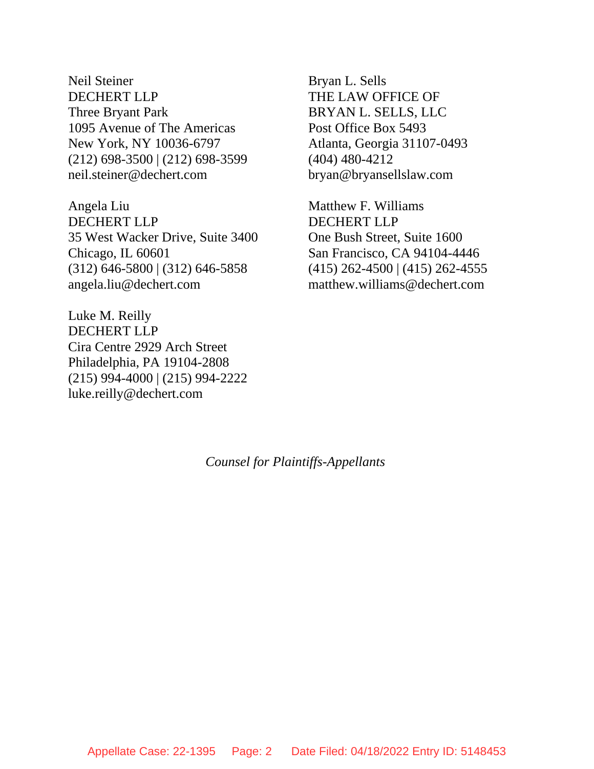Neil Steiner DECHERT LLP Three Bryant Park 1095 Avenue of The Americas New York, NY 10036-6797 (212) 698-3500 | (212) 698-3599 neil.steiner@dechert.com

Angela Liu DECHERT LLP 35 West Wacker Drive, Suite 3400 Chicago, IL 60601 (312) 646-5800 | (312) 646-5858 angela.liu@dechert.com

Luke M. Reilly DECHERT LLP Cira Centre 2929 Arch Street Philadelphia, PA 19104-2808 (215) 994-4000 | (215) 994-2222 luke.reilly@dechert.com

Bryan L. Sells THE LAW OFFICE OF BRYAN L. SELLS, LLC Post Office Box 5493 Atlanta, Georgia 31107-0493 (404) 480-4212 bryan@bryansellslaw.com

Matthew F. Williams DECHERT LLP One Bush Street, Suite 1600 San Francisco, CA 94104-4446 (415) 262-4500 | (415) 262-4555 matthew.williams@dechert.com

*Counsel for Plaintiffs-Appellants*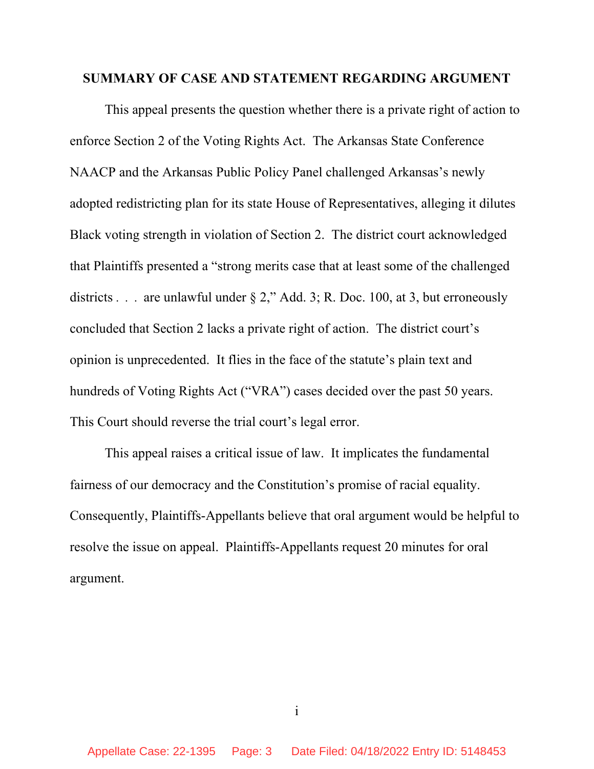#### **SUMMARY OF CASE AND STATEMENT REGARDING ARGUMENT**

This appeal presents the question whether there is a private right of action to enforce Section 2 of the Voting Rights Act. The Arkansas State Conference NAACP and the Arkansas Public Policy Panel challenged Arkansas's newly adopted redistricting plan for its state House of Representatives, alleging it dilutes Black voting strength in violation of Section 2. The district court acknowledged that Plaintiffs presented a "strong merits case that at least some of the challenged districts *...* are unlawful under § 2," Add. 3; R. Doc. 100, at 3, but erroneously concluded that Section 2 lacks a private right of action. The district court's opinion is unprecedented. It flies in the face of the statute's plain text and hundreds of Voting Rights Act ("VRA") cases decided over the past 50 years. This Court should reverse the trial court's legal error.

This appeal raises a critical issue of law. It implicates the fundamental fairness of our democracy and the Constitution's promise of racial equality. Consequently, Plaintiffs-Appellants believe that oral argument would be helpful to resolve the issue on appeal. Plaintiffs-Appellants request 20 minutes for oral argument.

i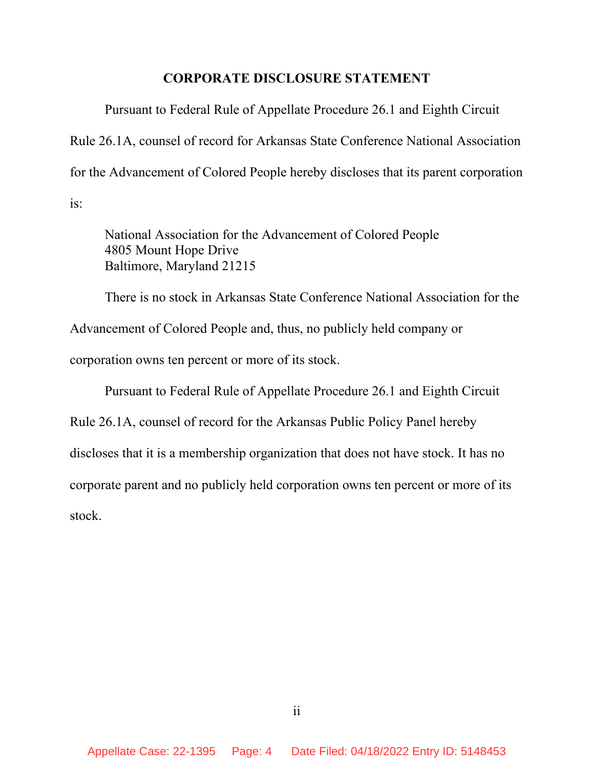#### **CORPORATE DISCLOSURE STATEMENT**

Pursuant to Federal Rule of Appellate Procedure 26.1 and Eighth Circuit Rule 26.1A, counsel of record for Arkansas State Conference National Association for the Advancement of Colored People hereby discloses that its parent corporation is:

National Association for the Advancement of Colored People 4805 Mount Hope Drive Baltimore, Maryland 21215

There is no stock in Arkansas State Conference National Association for the Advancement of Colored People and, thus, no publicly held company or corporation owns ten percent or more of its stock.

Pursuant to Federal Rule of Appellate Procedure 26.1 and Eighth Circuit

Rule 26.1A, counsel of record for the Arkansas Public Policy Panel hereby discloses that it is a membership organization that does not have stock. It has no corporate parent and no publicly held corporation owns ten percent or more of its stock.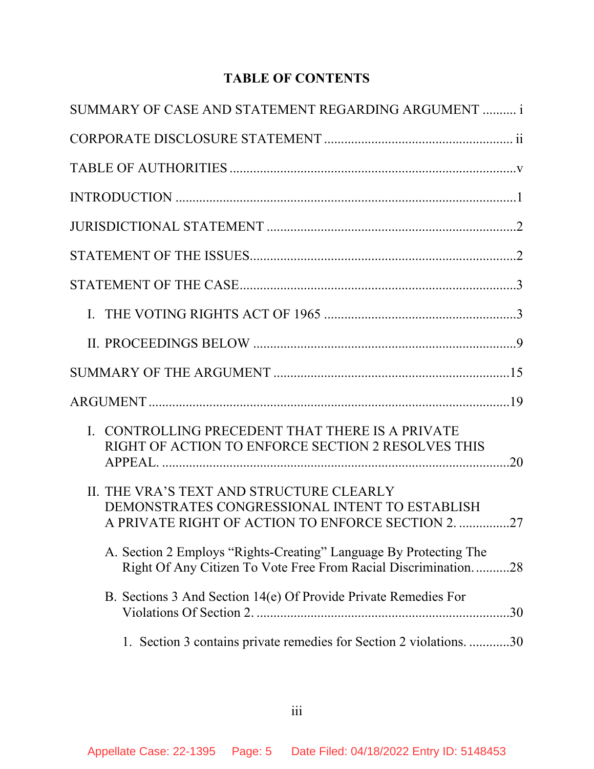# **TABLE OF CONTENTS**

| SUMMARY OF CASE AND STATEMENT REGARDING ARGUMENT  i                                                                                              |
|--------------------------------------------------------------------------------------------------------------------------------------------------|
|                                                                                                                                                  |
|                                                                                                                                                  |
|                                                                                                                                                  |
|                                                                                                                                                  |
|                                                                                                                                                  |
|                                                                                                                                                  |
|                                                                                                                                                  |
|                                                                                                                                                  |
|                                                                                                                                                  |
|                                                                                                                                                  |
| I. CONTROLLING PRECEDENT THAT THERE IS A PRIVATE<br>RIGHT OF ACTION TO ENFORCE SECTION 2 RESOLVES THIS                                           |
| II. THE VRA'S TEXT AND STRUCTURE CLEARLY<br>DEMONSTRATES CONGRESSIONAL INTENT TO ESTABLISH<br>A PRIVATE RIGHT OF ACTION TO ENFORCE SECTION 2. 27 |
| A. Section 2 Employs "Rights-Creating" Language By Protecting The<br>Right Of Any Citizen To Vote Free From Racial Discrimination28              |
| B. Sections 3 And Section 14(e) Of Provide Private Remedies For                                                                                  |
| 1. Section 3 contains private remedies for Section 2 violations. 30                                                                              |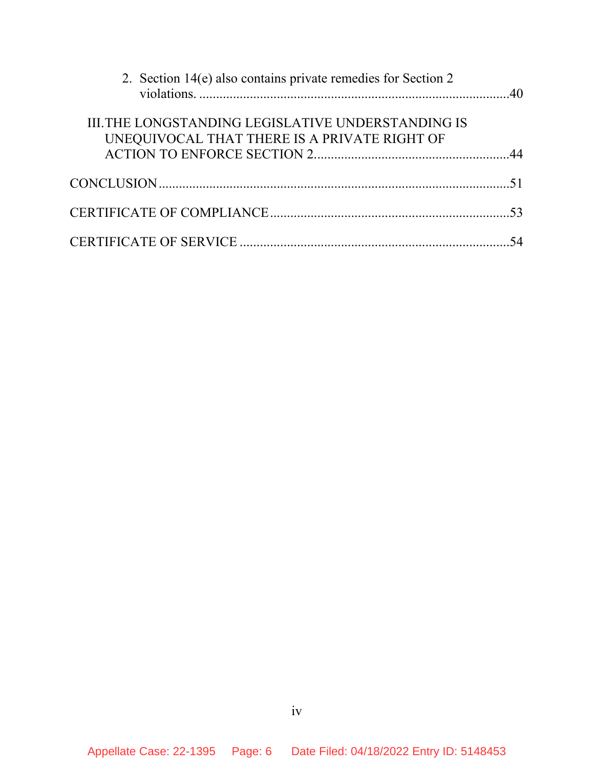| 2. Section 14(e) also contains private remedies for Section 2 |  |
|---------------------------------------------------------------|--|
| III. THE LONGSTANDING LEGISLATIVE UNDERSTANDING IS            |  |
| UNEQUIVOCAL THAT THERE IS A PRIVATE RIGHT OF                  |  |
|                                                               |  |
|                                                               |  |
|                                                               |  |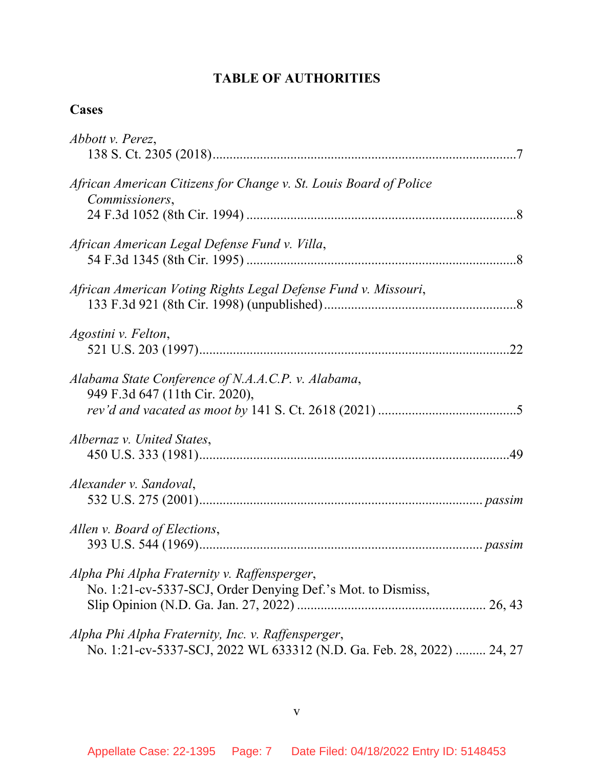# **TABLE OF AUTHORITIES**

# **Cases**

| Abbott v. Perez,                                                                                                            |
|-----------------------------------------------------------------------------------------------------------------------------|
| African American Citizens for Change v. St. Louis Board of Police<br>Commissioners,                                         |
| African American Legal Defense Fund v. Villa,                                                                               |
| African American Voting Rights Legal Defense Fund v. Missouri,                                                              |
| Agostini v. Felton,                                                                                                         |
| Alabama State Conference of N.A.A.C.P. v. Alabama,<br>949 F.3d 647 (11th Cir. 2020),                                        |
| Albernaz v. United States,                                                                                                  |
| Alexander v. Sandoval,                                                                                                      |
| Allen v. Board of Elections,                                                                                                |
| Alpha Phi Alpha Fraternity v. Raffensperger,<br>No. 1:21-cv-5337-SCJ, Order Denying Def.'s Mot. to Dismiss,                 |
| Alpha Phi Alpha Fraternity, Inc. v. Raffensperger,<br>No. 1:21-cv-5337-SCJ, 2022 WL 633312 (N.D. Ga. Feb. 28, 2022)  24, 27 |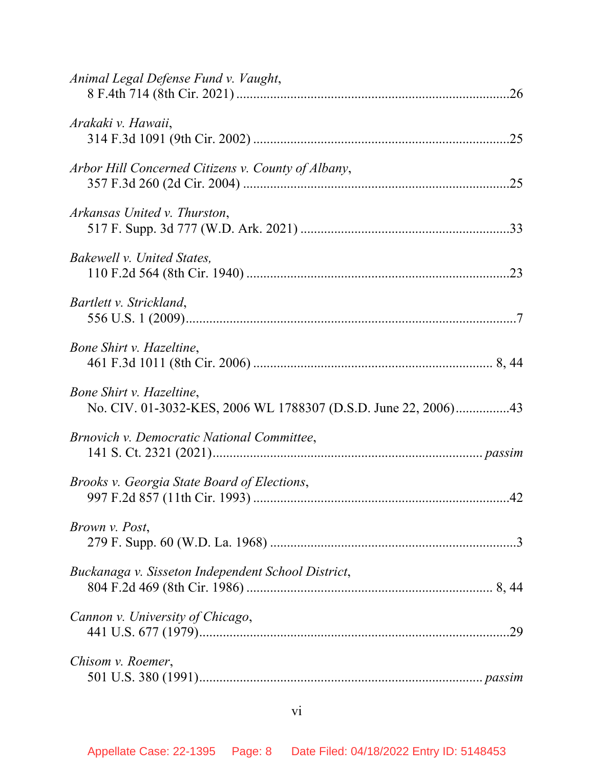| Animal Legal Defense Fund v. Vaught,                                                       |
|--------------------------------------------------------------------------------------------|
| Arakaki v. Hawaii,                                                                         |
| Arbor Hill Concerned Citizens v. County of Albany,                                         |
| Arkansas United v. Thurston,                                                               |
| Bakewell v. United States,                                                                 |
| Bartlett v. Strickland,                                                                    |
| Bone Shirt v. Hazeltine,                                                                   |
| Bone Shirt v. Hazeltine,<br>No. CIV. 01-3032-KES, 2006 WL 1788307 (D.S.D. June 22, 2006)43 |
| Brnovich v. Democratic National Committee,                                                 |
| Brooks v. Georgia State Board of Elections,                                                |
| Brown v. Post,                                                                             |
| Buckanaga v. Sisseton Independent School District,                                         |
| Cannon v. University of Chicago,                                                           |
| Chisom v. Roemer,                                                                          |
|                                                                                            |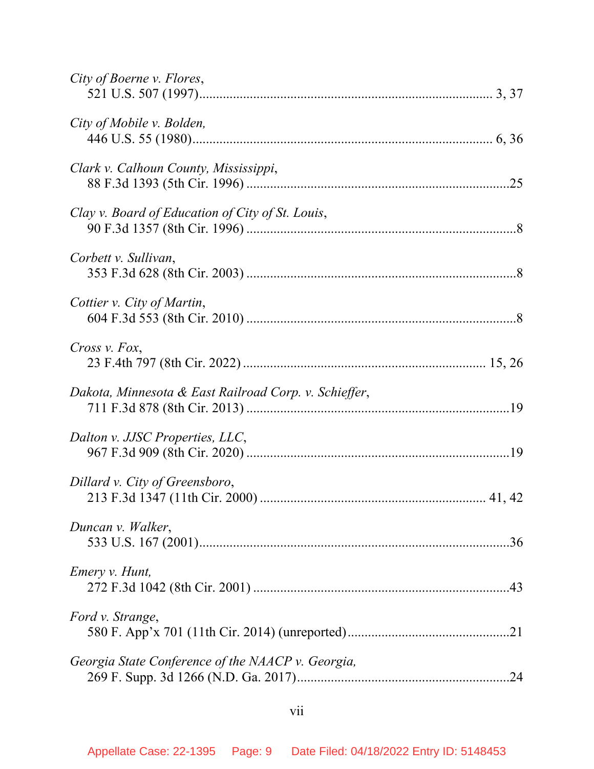| City of Boerne v. Flores,                             |
|-------------------------------------------------------|
| City of Mobile v. Bolden,                             |
| Clark v. Calhoun County, Mississippi,                 |
| Clay v. Board of Education of City of St. Louis,      |
| Corbett v. Sullivan,                                  |
| Cottier v. City of Martin,                            |
| Cross v. Fox,                                         |
| Dakota, Minnesota & East Railroad Corp. v. Schieffer, |
| Dalton v. JJSC Properties, LLC,                       |
| Dillard v. City of Greensboro,                        |
| Duncan v. Walker,                                     |
| <i>Emery v. Hunt,</i>                                 |
| Ford v. Strange,                                      |
| Georgia State Conference of the NAACP v. Georgia,     |
|                                                       |

# vii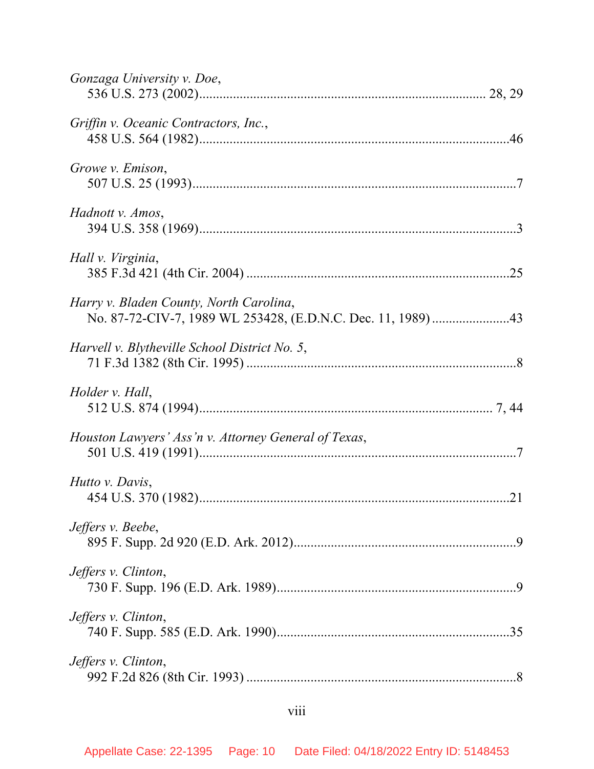| Gonzaga University v. Doe,                           |  |
|------------------------------------------------------|--|
| Griffin v. Oceanic Contractors, Inc.,                |  |
| Growe v. Emison,                                     |  |
| Hadnott v. Amos,                                     |  |
| Hall v. Virginia,                                    |  |
| Harry v. Bladen County, North Carolina,              |  |
| Harvell v. Blytheville School District No. 5,        |  |
| Holder v. Hall,                                      |  |
| Houston Lawyers' Ass'n v. Attorney General of Texas, |  |
| Hutto v. Davis,                                      |  |
| Jeffers v. Beebe,                                    |  |
| Jeffers v. Clinton,                                  |  |
| Jeffers v. Clinton,                                  |  |
| Jeffers v. Clinton,                                  |  |
|                                                      |  |

# viii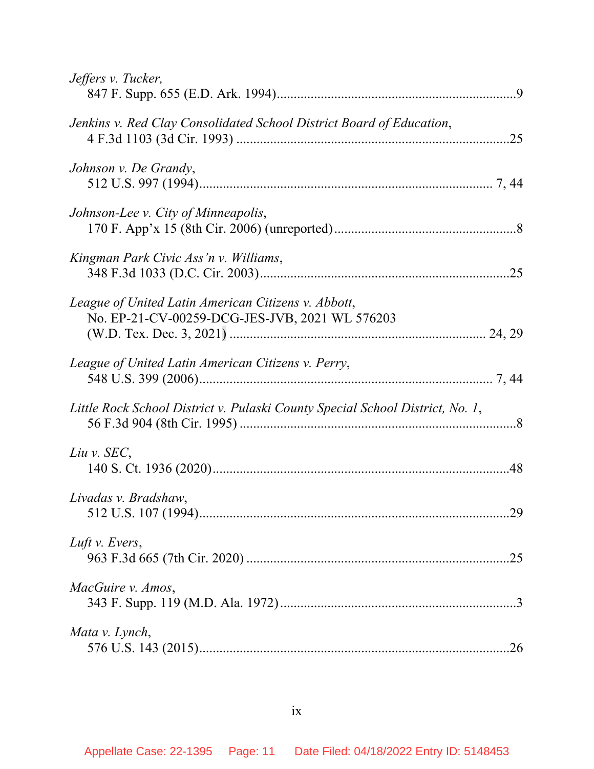| Jeffers v. Tucker,                                                                                    |
|-------------------------------------------------------------------------------------------------------|
| Jenkins v. Red Clay Consolidated School District Board of Education,                                  |
| Johnson v. De Grandy,                                                                                 |
| Johnson-Lee v. City of Minneapolis,                                                                   |
| Kingman Park Civic Ass'n v. Williams,                                                                 |
| League of United Latin American Citizens v. Abbott,<br>No. EP-21-CV-00259-DCG-JES-JVB, 2021 WL 576203 |
| League of United Latin American Citizens v. Perry,                                                    |
| Little Rock School District v. Pulaski County Special School District, No. 1,                         |
| Liu v. SEC,                                                                                           |
| Livadas v. Bradshaw,                                                                                  |
| Luft v. Evers,                                                                                        |
| MacGuire v. Amos,                                                                                     |
| Mata v. Lynch,                                                                                        |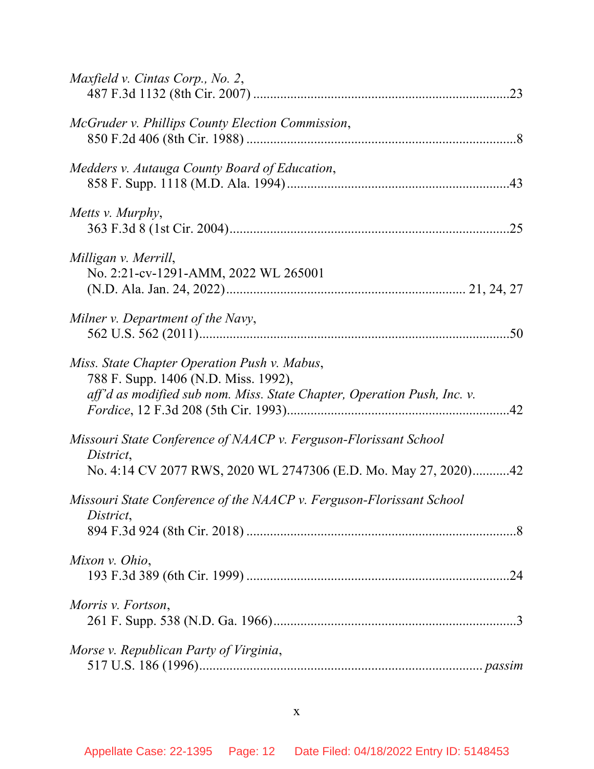| Maxfield v. Cintas Corp., No. 2,                                                                                                                                |
|-----------------------------------------------------------------------------------------------------------------------------------------------------------------|
| McGruder v. Phillips County Election Commission,                                                                                                                |
| Medders v. Autauga County Board of Education,                                                                                                                   |
| Metts v. Murphy,                                                                                                                                                |
| Milligan v. Merrill,<br>No. 2:21-cv-1291-AMM, 2022 WL 265001                                                                                                    |
| Milner v. Department of the Navy,                                                                                                                               |
| Miss. State Chapter Operation Push v. Mabus,<br>788 F. Supp. 1406 (N.D. Miss. 1992),<br>aff'd as modified sub nom. Miss. State Chapter, Operation Push, Inc. v. |
| Missouri State Conference of NAACP v. Ferguson-Florissant School<br>District,<br>No. 4:14 CV 2077 RWS, 2020 WL 2747306 (E.D. Mo. May 27, 2020)42                |
| Missouri State Conference of the NAACP v. Ferguson-Florissant School<br>District,                                                                               |
| Mixon v. Ohio,                                                                                                                                                  |
| Morris v. Fortson,                                                                                                                                              |
| Morse v. Republican Party of Virginia,                                                                                                                          |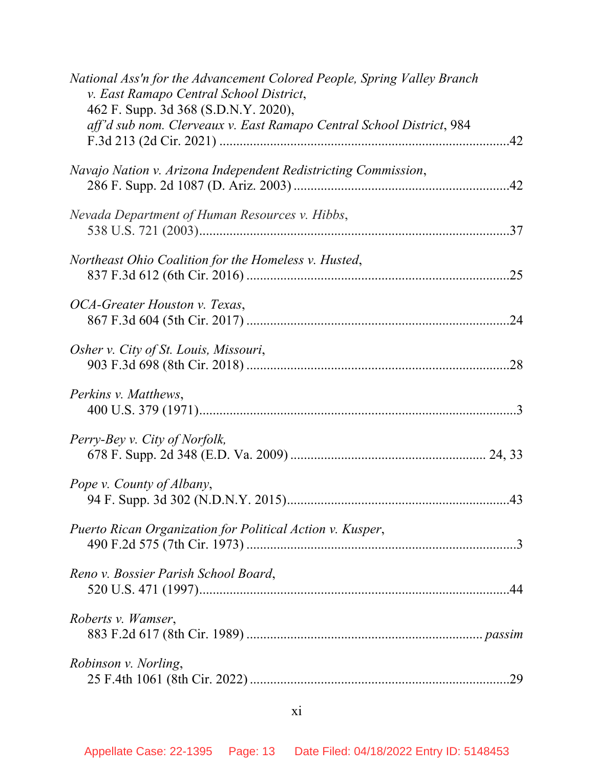| National Ass'n for the Advancement Colored People, Spring Valley Branch<br>v. East Ramapo Central School District,<br>462 F. Supp. 3d 368 (S.D.N.Y. 2020),<br>aff'd sub nom. Clerveaux v. East Ramapo Central School District, 984 |
|------------------------------------------------------------------------------------------------------------------------------------------------------------------------------------------------------------------------------------|
| Navajo Nation v. Arizona Independent Redistricting Commission,                                                                                                                                                                     |
| Nevada Department of Human Resources v. Hibbs,                                                                                                                                                                                     |
| Northeast Ohio Coalition for the Homeless v. Husted,                                                                                                                                                                               |
| OCA-Greater Houston v. Texas,                                                                                                                                                                                                      |
| Osher v. City of St. Louis, Missouri,                                                                                                                                                                                              |
| Perkins v. Matthews,                                                                                                                                                                                                               |
| Perry-Bey v. City of Norfolk,                                                                                                                                                                                                      |
| Pope v. County of Albany,                                                                                                                                                                                                          |
| Puerto Rican Organization for Political Action v. Kusper,                                                                                                                                                                          |
| Reno v. Bossier Parish School Board,                                                                                                                                                                                               |
| Roberts v. Wamser,                                                                                                                                                                                                                 |
| Robinson v. Norling,<br>.29                                                                                                                                                                                                        |
|                                                                                                                                                                                                                                    |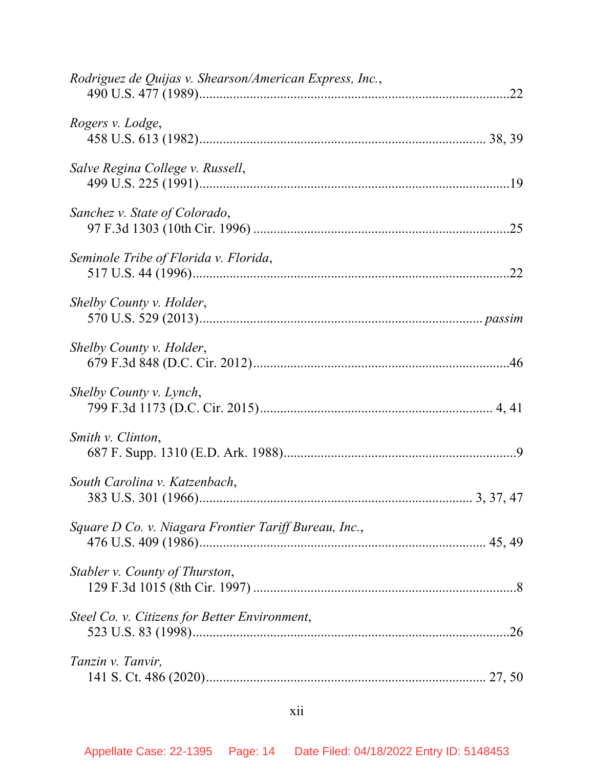| Rodriguez de Quijas v. Shearson/American Express, Inc., |  |
|---------------------------------------------------------|--|
| Rogers v. Lodge,                                        |  |
| Salve Regina College v. Russell,                        |  |
| Sanchez v. State of Colorado,                           |  |
| Seminole Tribe of Florida v. Florida,                   |  |
| Shelby County v. Holder,                                |  |
| Shelby County v. Holder,                                |  |
| Shelby County v. Lynch,                                 |  |
| Smith v. Clinton,                                       |  |
| South Carolina v. Katzenbach,                           |  |
| Square D Co. v. Niagara Frontier Tariff Bureau, Inc.,   |  |
| Stabler v. County of Thurston,                          |  |
| Steel Co. v. Citizens for Better Environment,           |  |
| Tanzin v. Tanvir,                                       |  |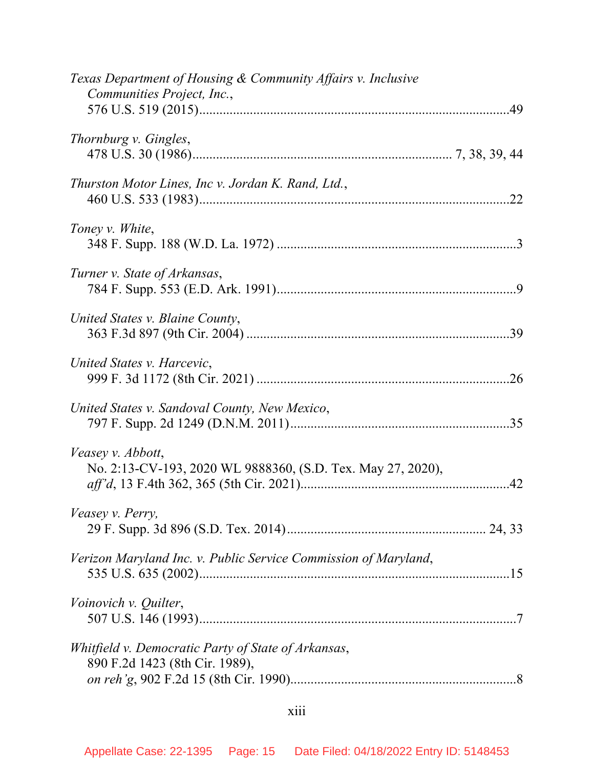| Texas Department of Housing & Community Affairs v. Inclusive<br>Communities Project, Inc., |  |
|--------------------------------------------------------------------------------------------|--|
| Thornburg v. Gingles,                                                                      |  |
| Thurston Motor Lines, Inc v. Jordan K. Rand, Ltd.,                                         |  |
| Toney v. White,                                                                            |  |
| Turner v. State of Arkansas,                                                               |  |
| United States v. Blaine County,                                                            |  |
| United States v. Harcevic,                                                                 |  |
| United States v. Sandoval County, New Mexico,                                              |  |
| Veasey v. Abbott,<br>No. 2:13-CV-193, 2020 WL 9888360, (S.D. Tex. May 27, 2020),           |  |
| Veasey v. Perry,                                                                           |  |
| Verizon Maryland Inc. v. Public Service Commission of Maryland,                            |  |
| Voinovich v. Quilter,                                                                      |  |
| Whitfield v. Democratic Party of State of Arkansas,<br>890 F.2d 1423 (8th Cir. 1989),      |  |

xiii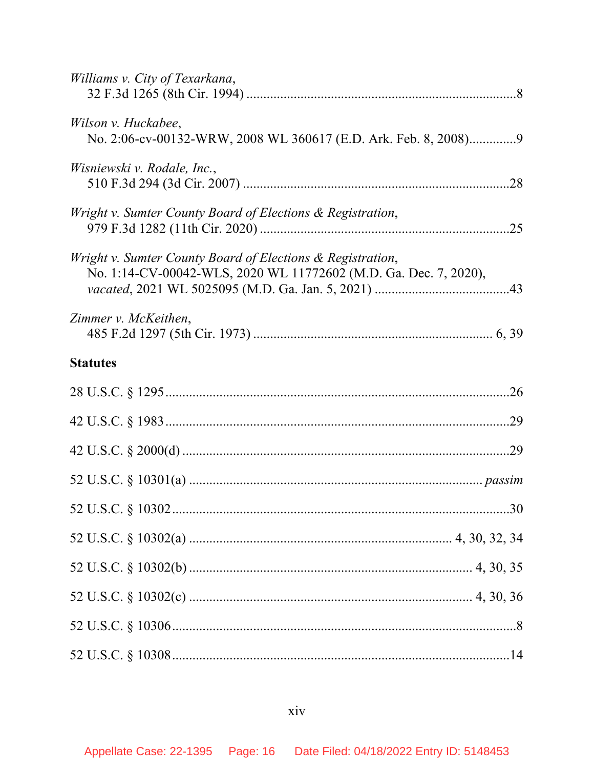| Williams v. City of Texarkana,                                                                                                 |
|--------------------------------------------------------------------------------------------------------------------------------|
| Wilson v. Huckabee,<br>No. 2:06-cv-00132-WRW, 2008 WL 360617 (E.D. Ark. Feb. 8, 2008)9                                         |
| Wisniewski v. Rodale, Inc.,                                                                                                    |
| Wright v. Sumter County Board of Elections & Registration,                                                                     |
| Wright v. Sumter County Board of Elections & Registration,<br>No. 1:14-CV-00042-WLS, 2020 WL 11772602 (M.D. Ga. Dec. 7, 2020), |
| Zimmer v. McKeithen,                                                                                                           |
| <b>Statutes</b>                                                                                                                |
|                                                                                                                                |
|                                                                                                                                |
|                                                                                                                                |
|                                                                                                                                |
|                                                                                                                                |
|                                                                                                                                |
|                                                                                                                                |
|                                                                                                                                |
|                                                                                                                                |
|                                                                                                                                |

## xiv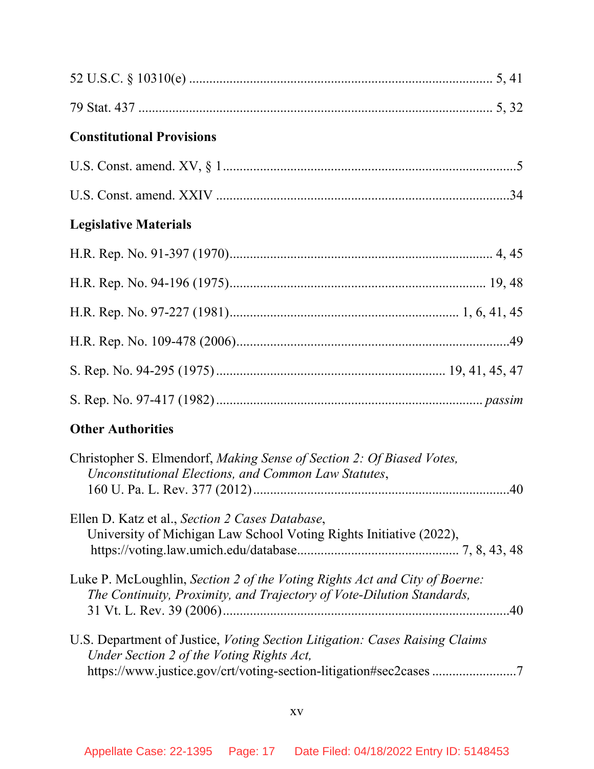| <b>Constitutional Provisions</b>                                                                                                                                                              |
|-----------------------------------------------------------------------------------------------------------------------------------------------------------------------------------------------|
|                                                                                                                                                                                               |
|                                                                                                                                                                                               |
| <b>Legislative Materials</b>                                                                                                                                                                  |
|                                                                                                                                                                                               |
|                                                                                                                                                                                               |
|                                                                                                                                                                                               |
|                                                                                                                                                                                               |
|                                                                                                                                                                                               |
|                                                                                                                                                                                               |
| <b>Other Authorities</b>                                                                                                                                                                      |
| Christopher S. Elmendorf, Making Sense of Section 2: Of Biased Votes,<br>Unconstitutional Elections, and Common Law Statutes,                                                                 |
| Ellen D. Katz et al., Section 2 Cases Database,<br>University of Michigan Law School Voting Rights Initiative (2022),                                                                         |
| Luke P. McLoughlin, Section 2 of the Voting Rights Act and City of Boerne:<br>The Continuity, Proximity, and Trajectory of Vote-Dilution Standards,                                           |
| U.S. Department of Justice, Voting Section Litigation: Cases Raising Claims<br>Under Section 2 of the Voting Rights Act,<br>https://www.justice.gov/crt/voting-section-litigation#sec2cases 7 |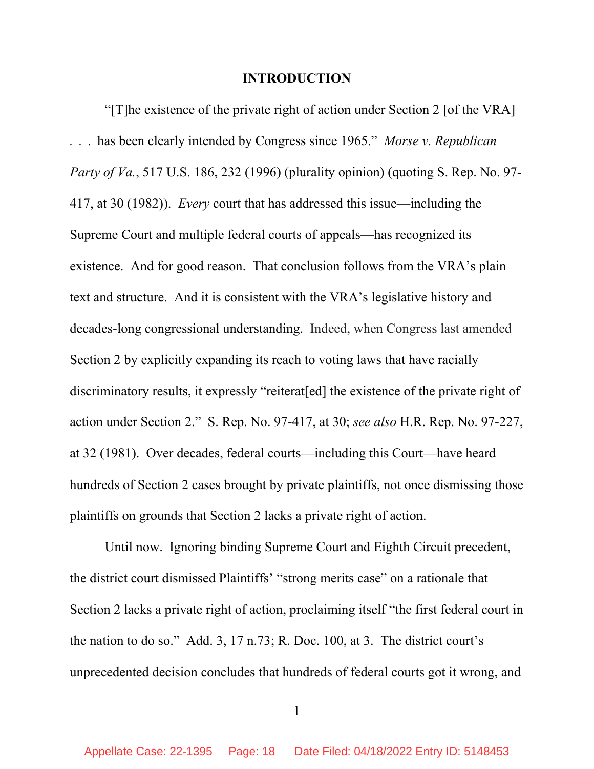#### **INTRODUCTION**

"[T]he existence of the private right of action under Section 2 [of the VRA] *...* has been clearly intended by Congress since 1965." *Morse v. Republican Party of Va.*, 517 U.S. 186, 232 (1996) (plurality opinion) (quoting S. Rep. No. 97- 417, at 30 (1982)). *Every* court that has addressed this issue—including the Supreme Court and multiple federal courts of appeals—has recognized its existence. And for good reason. That conclusion follows from the VRA's plain text and structure. And it is consistent with the VRA's legislative history and decades-long congressional understanding. Indeed, when Congress last amended Section 2 by explicitly expanding its reach to voting laws that have racially discriminatory results, it expressly "reiterat [ed] the existence of the private right of action under Section 2." S. Rep. No. 97-417, at 30; *see also* H.R. Rep. No. 97-227, at 32 (1981). Over decades, federal courts—including this Court—have heard hundreds of Section 2 cases brought by private plaintiffs, not once dismissing those plaintiffs on grounds that Section 2 lacks a private right of action.

Until now. Ignoring binding Supreme Court and Eighth Circuit precedent, the district court dismissed Plaintiffs' "strong merits case" on a rationale that Section 2 lacks a private right of action, proclaiming itself "the first federal court in the nation to do so." Add. 3, 17 n.73; R. Doc. 100, at 3. The district court's unprecedented decision concludes that hundreds of federal courts got it wrong, and

1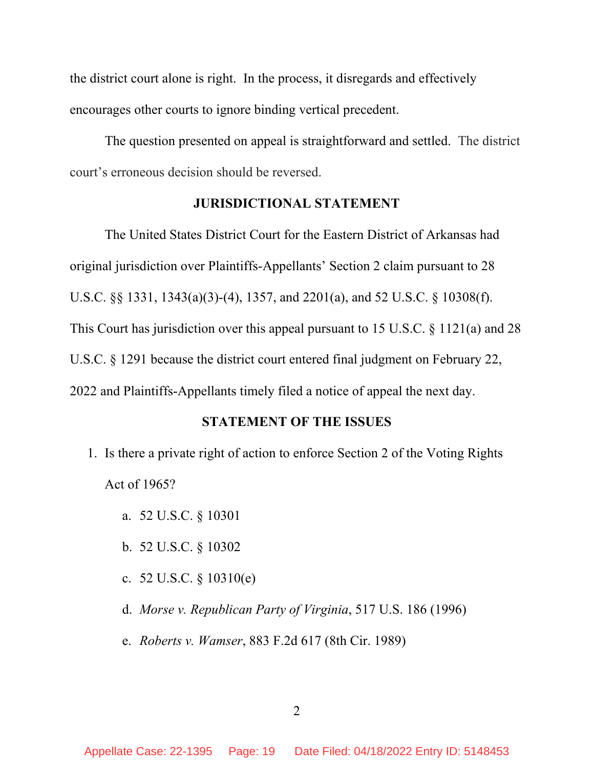the district court alone is right. In the process, it disregards and effectively encourages other courts to ignore binding vertical precedent.

The question presented on appeal is straightforward and settled. The district court's erroneous decision should be reversed.

#### **JURISDICTIONAL STATEMENT**

The United States District Court for the Eastern District of Arkansas had original jurisdiction over Plaintiffs-Appellants' Section 2 claim pursuant to 28 U.S.C. §§ 1331, 1343(a)(3)-(4), 1357, and 2201(a), and 52 U.S.C. § 10308(f). This Court has jurisdiction over this appeal pursuant to 15 U.S.C. § 1121(a) and 28 U.S.C. § 1291 because the district court entered final judgment on February 22, 2022 and Plaintiffs-Appellants timely filed a notice of appeal the next day.

#### **STATEMENT OF THE ISSUES**

- 1. Is there a private right of action to enforce Section 2 of the Voting Rights Act of 1965?
	- a. 52 U.S.C. § 10301
	- b. 52 U.S.C. § 10302
	- c. 52 U.S.C. § 10310(e)
	- d. *Morse v. Republican Party of Virginia*, 517 U.S. 186 (1996)
	- e. *Roberts v. Wamser*, 883 F.2d 617 (8th Cir. 1989)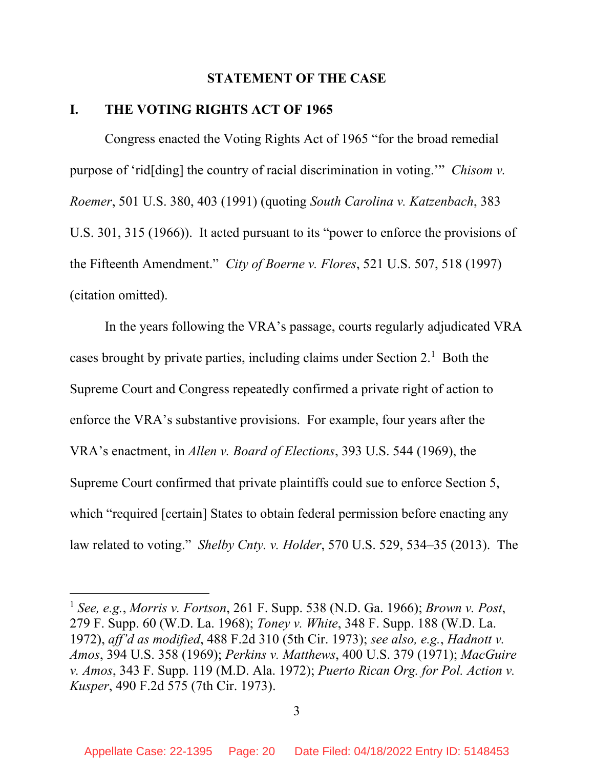#### **STATEMENT OF THE CASE**

## **I. THE VOTING RIGHTS ACT OF 1965**

Congress enacted the Voting Rights Act of 1965 "for the broad remedial purpose of 'rid[ding] the country of racial discrimination in voting.'" *Chisom v. Roemer*, 501 U.S. 380, 403 (1991) (quoting *South Carolina v. Katzenbach*, 383 U.S. 301, 315 (1966)). It acted pursuant to its "power to enforce the provisions of the Fifteenth Amendment." *City of Boerne v. Flores*, 521 U.S. 507, 518 (1997) (citation omitted).

In the years following the VRA's passage, courts regularly adjudicated VRA cases brought by private parties, including claims under Section  $2<sup>1</sup>$  Both the Supreme Court and Congress repeatedly confirmed a private right of action to enforce the VRA's substantive provisions. For example, four years after the VRA's enactment, in *Allen v. Board of Elections*, 393 U.S. 544 (1969), the Supreme Court confirmed that private plaintiffs could sue to enforce Section 5, which "required [certain] States to obtain federal permission before enacting any law related to voting." *Shelby Cnty. v. Holder*, 570 U.S. 529, 534–35 (2013). The

<span id="page-19-0"></span> <sup>1</sup> *See, e.g.*, *Morris v. Fortson*, 261 F. Supp. 538 (N.D. Ga. 1966); *Brown v. Post*, 279 F. Supp. 60 (W.D. La. 1968); *Toney v. White*, 348 F. Supp. 188 (W.D. La. 1972), *aff'd as modified*, 488 F.2d 310 (5th Cir. 1973); *see also, e.g.*, *Hadnott v. Amos*, 394 U.S. 358 (1969); *Perkins v. Matthews*, 400 U.S. 379 (1971); *MacGuire v. Amos*, 343 F. Supp. 119 (M.D. Ala. 1972); *Puerto Rican Org. for Pol. Action v. Kusper*, 490 F.2d 575 (7th Cir. 1973).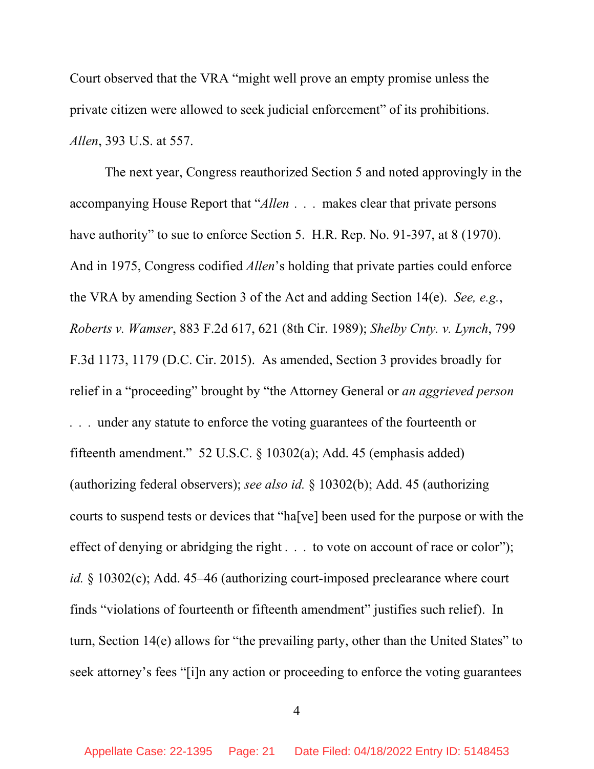Court observed that the VRA "might well prove an empty promise unless the private citizen were allowed to seek judicial enforcement" of its prohibitions. *Allen*, 393 U.S. at 557.

The next year, Congress reauthorized Section 5 and noted approvingly in the accompanying House Report that "*Allen ...* makes clear that private persons have authority" to sue to enforce Section 5. H.R. Rep. No. 91-397, at 8 (1970). And in 1975, Congress codified *Allen*'s holding that private parties could enforce the VRA by amending Section 3 of the Act and adding Section 14(e). *See, e.g.*, *Roberts v. Wamser*, 883 F.2d 617, 621 (8th Cir. 1989); *Shelby Cnty. v. Lynch*, 799 F.3d 1173, 1179 (D.C. Cir. 2015).As amended, Section 3 provides broadly for relief in a "proceeding" brought by "the Attorney General or *an aggrieved person ...* under any statute to enforce the voting guarantees of the fourteenth or fifteenth amendment." 52 U.S.C. § 10302(a); Add. 45 (emphasis added) (authorizing federal observers); *see also id.* § 10302(b); Add. 45 (authorizing courts to suspend tests or devices that "ha[ve] been used for the purpose or with the effect of denying or abridging the right *...* to vote on account of race or color"); *id.* § 10302(c); Add. 45–46 (authorizing court-imposed preclearance where court finds "violations of fourteenth or fifteenth amendment" justifies such relief). In turn, Section 14(e) allows for "the prevailing party, other than the United States" to seek attorney's fees "[i]n any action or proceeding to enforce the voting guarantees

4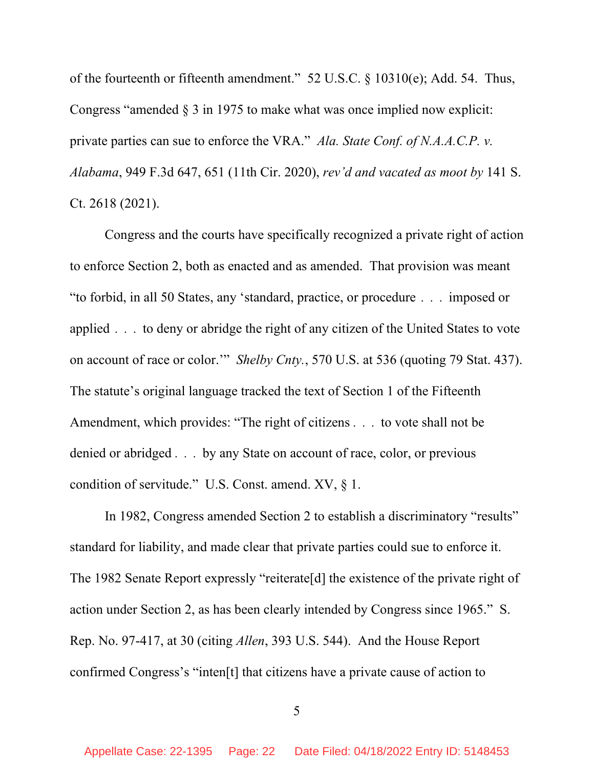of the fourteenth or fifteenth amendment." 52 U.S.C. § 10310(e); Add. 54. Thus, Congress "amended § 3 in 1975 to make what was once implied now explicit: private parties can sue to enforce the VRA." *Ala. State Conf. of N.A.A.C.P. v. Alabama*, 949 F.3d 647, 651 (11th Cir. 2020), *rev'd and vacated as moot by* 141 S. Ct. 2618 (2021).

Congress and the courts have specifically recognized a private right of action to enforce Section 2, both as enacted and as amended. That provision was meant "to forbid, in all 50 States, any 'standard, practice, or procedure *...* imposed or applied *...* to deny or abridge the right of any citizen of the United States to vote on account of race or color.'" *Shelby Cnty.*, 570 U.S. at 536 (quoting 79 Stat. 437). The statute's original language tracked the text of Section 1 of the Fifteenth Amendment, which provides: "The right of citizens *...* to vote shall not be denied or abridged *...* by any State on account of race, color, or previous condition of servitude." U.S. Const. amend. XV, § 1.

In 1982, Congress amended Section 2 to establish a discriminatory "results" standard for liability, and made clear that private parties could sue to enforce it. The 1982 Senate Report expressly "reiterate[d] the existence of the private right of action under Section 2, as has been clearly intended by Congress since 1965." S. Rep. No. 97-417, at 30 (citing *Allen*, 393 U.S. 544). And the House Report confirmed Congress's "inten[t] that citizens have a private cause of action to

5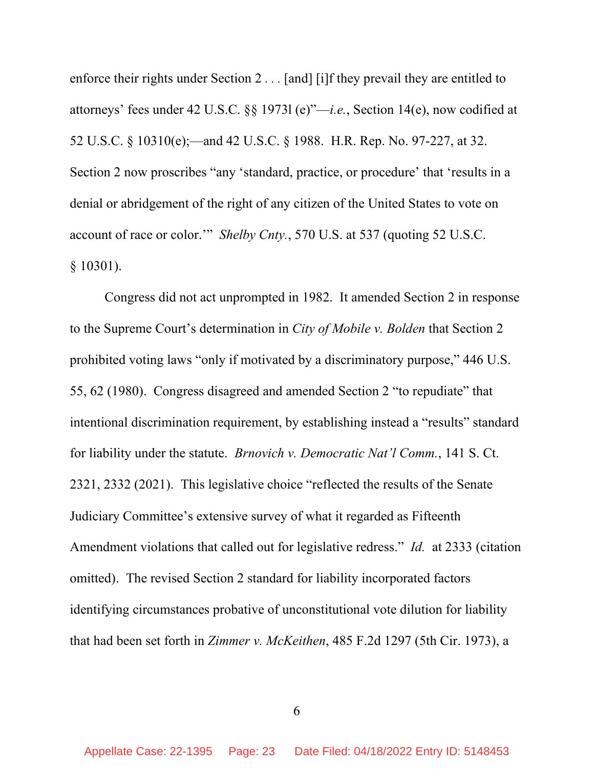enforce their rights under Section 2 *...* [and] [i]f they prevail they are entitled to attorneys' fees under 42 U.S.C. §§ 1973l (e)"—*i.e.*, Section 14(e), now codified at 52 U.S.C. § 10310(e);—and 42 U.S.C. § 1988. H.R. Rep. No. 97-227, at 32. Section 2 now proscribes "any 'standard, practice, or procedure' that 'results in a denial or abridgement of the right of any citizen of the United States to vote on account of race or color.'" *Shelby Cnty.*, 570 U.S. at 537 (quoting 52 U.S.C. § 10301).

Congress did not act unprompted in 1982. It amended Section 2 in response to the Supreme Court's determination in *City of Mobile v. Bolden* that Section 2 prohibited voting laws "only if motivated by a discriminatory purpose," 446 U.S. 55, 62 (1980). Congress disagreed and amended Section 2 "to repudiate" that intentional discrimination requirement, by establishing instead a "results" standard for liability under the statute. *Brnovich v. Democratic Nat'l Comm.*, 141 S. Ct. 2321, 2332 (2021). This legislative choice "reflected the results of the Senate Judiciary Committee's extensive survey of what it regarded as Fifteenth Amendment violations that called out for legislative redress." *Id.* at 2333 (citation omitted). The revised Section 2 standard for liability incorporated factors identifying circumstances probative of unconstitutional vote dilution for liability that had been set forth in *Zimmer v. McKeithen*, 485 F.2d 1297 (5th Cir. 1973), a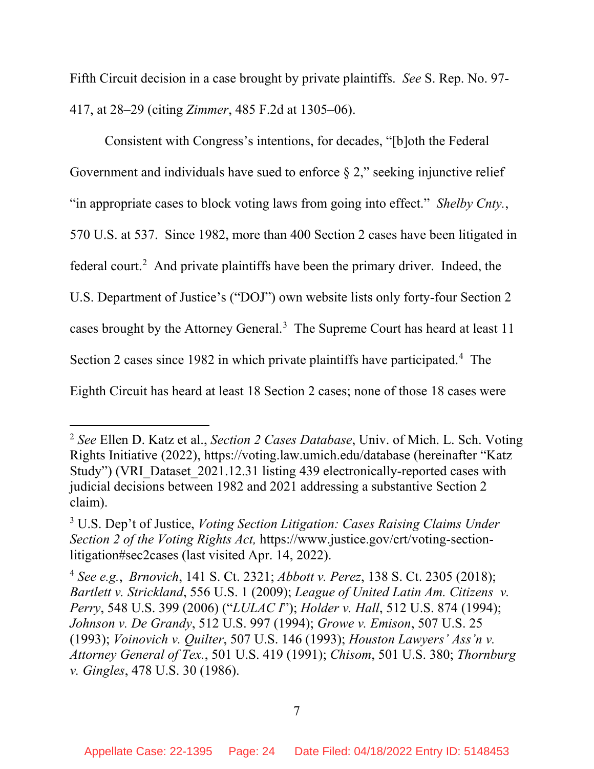Fifth Circuit decision in a case brought by private plaintiffs. *See* S. Rep. No. 97- 417, at 28–29 (citing *Zimmer*, 485 F.2d at 1305–06).

Consistent with Congress's intentions, for decades, "[b]oth the Federal Government and individuals have sued to enforce  $\S 2$ ," seeking injunctive relief "in appropriate cases to block voting laws from going into effect." *Shelby Cnty.*, 570 U.S. at 537. Since 1982, more than 400 Section 2 cases have been litigated in federal court. [2](#page-23-0) And private plaintiffs have been the primary driver. Indeed, the U.S. Department of Justice's ("DOJ") own website lists only forty-four Section 2 cases brought by the Attorney General.[3](#page-23-1) The Supreme Court has heard at least 11 Section 2 cases since 1982 in which private plaintiffs have participated.<sup>[4](#page-23-2)</sup> The Eighth Circuit has heard at least 18 Section 2 cases; none of those 18 cases were

<span id="page-23-0"></span> <sup>2</sup> *See* Ellen D. Katz et al., *Section 2 Cases Database*, Univ. of Mich. L. Sch. Voting Rights Initiative (2022), https://voting.law.umich.edu/database (hereinafter "Katz Study") (VRI Dataset 2021.12.31 listing 439 electronically-reported cases with judicial decisions between 1982 and 2021 addressing a substantive Section 2 claim).

<span id="page-23-1"></span><sup>3</sup> U.S. Dep't of Justice, *Voting Section Litigation: Cases Raising Claims Under Section 2 of the Voting Rights Act,* https://www.justice.gov/crt/voting-sectionlitigation#sec2cases (last visited Apr. 14, 2022).

<span id="page-23-2"></span><sup>4</sup> *See e.g.*, *Brnovich*, 141 S. Ct. 2321; *Abbott v. Perez*, 138 S. Ct. 2305 (2018); *Bartlett v. Strickland*, 556 U.S. 1 (2009); *League of United Latin Am. Citizens v. Perry*, 548 U.S. 399 (2006) ("*LULAC I*"); *Holder v. Hall*, 512 U.S. 874 (1994); *Johnson v. De Grandy*, 512 U.S. 997 (1994); *Growe v. Emison*, 507 U.S. 25 (1993); *Voinovich v. Quilter*, 507 U.S. 146 (1993); *Houston Lawyers' Ass'n v. Attorney General of Tex.*, 501 U.S. 419 (1991); *Chisom*, 501 U.S. 380; *Thornburg v. Gingles*, 478 U.S. 30 (1986).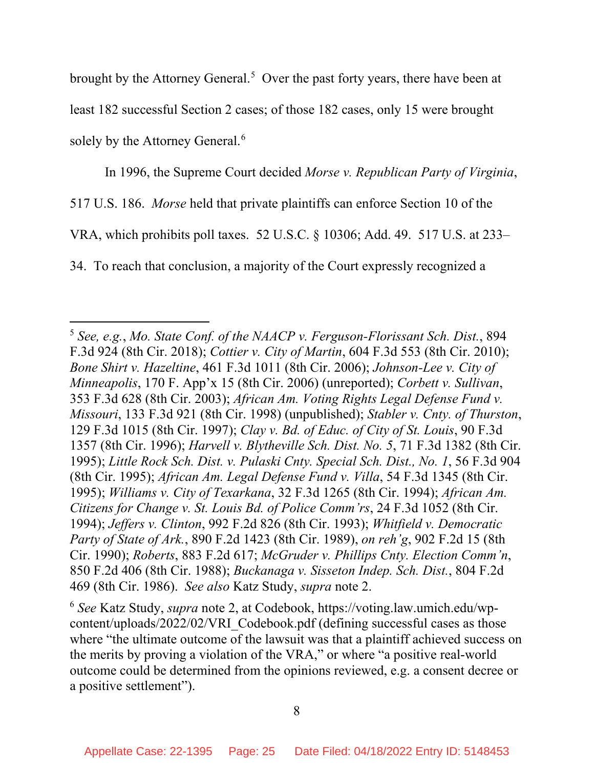brought by the Attorney General. [5](#page-24-0) Over the past forty years, there have been at least 182 successful Section 2 cases; of those 182 cases, only 15 were brought solely by the Attorney General.<sup>[6](#page-24-1)</sup>

In 1996, the Supreme Court decided *Morse v. Republican Party of Virginia*,

517 U.S. 186. *Morse* held that private plaintiffs can enforce Section 10 of the

VRA, which prohibits poll taxes. 52 U.S.C. § 10306; Add. 49. 517 U.S. at 233–

34. To reach that conclusion, a majority of the Court expressly recognized a

<span id="page-24-0"></span> <sup>5</sup> *See, e.g.*, *Mo. State Conf. of the NAACP v. Ferguson-Florissant Sch. Dist.*, 894 F.3d 924 (8th Cir. 2018); *Cottier v. City of Martin*, 604 F.3d 553 (8th Cir. 2010); *Bone Shirt v. Hazeltine*, 461 F.3d 1011 (8th Cir. 2006); *Johnson-Lee v. City of Minneapolis*, 170 F. App'x 15 (8th Cir. 2006) (unreported); *Corbett v. Sullivan*, 353 F.3d 628 (8th Cir. 2003); *African Am. Voting Rights Legal Defense Fund v. Missouri*, 133 F.3d 921 (8th Cir. 1998) (unpublished); *Stabler v. Cnty. of Thurston*, 129 F.3d 1015 (8th Cir. 1997); *Clay v. Bd. of Educ. of City of St. Louis*, 90 F.3d 1357 (8th Cir. 1996); *Harvell v. Blytheville Sch. Dist. No. 5*, 71 F.3d 1382 (8th Cir. 1995); *Little Rock Sch. Dist. v. Pulaski Cnty. Special Sch. Dist., No. 1*, 56 F.3d 904 (8th Cir. 1995); *African Am. Legal Defense Fund v. Villa*, 54 F.3d 1345 (8th Cir. 1995); *Williams v. City of Texarkana*, 32 F.3d 1265 (8th Cir. 1994); *African Am. Citizens for Change v. St. Louis Bd. of Police Comm'rs*, 24 F.3d 1052 (8th Cir. 1994); *Jeffers v. Clinton*, 992 F.2d 826 (8th Cir. 1993); *Whitfield v. Democratic Party of State of Ark.*, 890 F.2d 1423 (8th Cir. 1989), *on reh'g*, 902 F.2d 15 (8th Cir. 1990); *Roberts*, 883 F.2d 617; *McGruder v. Phillips Cnty. Election Comm'n*, 850 F.2d 406 (8th Cir. 1988); *Buckanaga v. Sisseton Indep. Sch. Dist.*, 804 F.2d 469 (8th Cir. 1986). *See also* Katz Study, *supra* note 2.

<span id="page-24-1"></span><sup>6</sup> *See* Katz Study, *supra* note 2, at Codebook, https://voting.law.umich.edu/wpcontent/uploads/2022/02/VRI\_Codebook.pdf (defining successful cases as those where "the ultimate outcome of the lawsuit was that a plaintiff achieved success on the merits by proving a violation of the VRA," or where "a positive real-world outcome could be determined from the opinions reviewed, e.g. a consent decree or a positive settlement").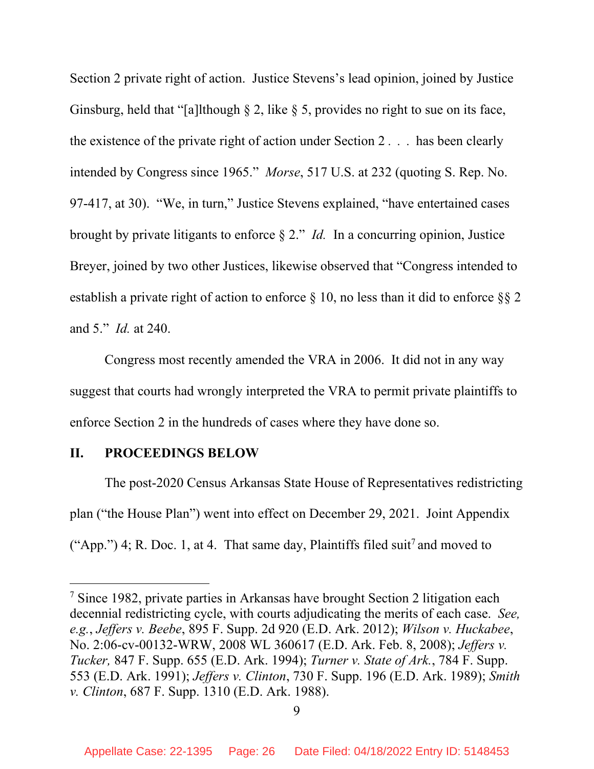Section 2 private right of action. Justice Stevens's lead opinion, joined by Justice Ginsburg, held that "[a]lthough § 2, like § 5, provides no right to sue on its face, the existence of the private right of action under Section 2 *...* has been clearly intended by Congress since 1965." *Morse*, 517 U.S. at 232 (quoting S. Rep. No. 97-417, at 30). "We, in turn," Justice Stevens explained, "have entertained cases brought by private litigants to enforce § 2." *Id.* In a concurring opinion, Justice Breyer, joined by two other Justices, likewise observed that "Congress intended to establish a private right of action to enforce  $\S$  10, no less than it did to enforce  $\S$ § 2 and 5." *Id.* at 240.

Congress most recently amended the VRA in 2006. It did not in any way suggest that courts had wrongly interpreted the VRA to permit private plaintiffs to enforce Section 2 in the hundreds of cases where they have done so.

### **II. PROCEEDINGS BELOW**

The post-2020 Census Arkansas State House of Representatives redistricting plan ("the House Plan") went into effect on December 29, 2021. Joint Appendix ("App.") 4; R. Doc. 1, at 4. That same day, Plaintiffs filed suit<sup>[7](#page-25-0)</sup> and moved to

<span id="page-25-0"></span><sup>7</sup> Since 1982, private parties in Arkansas have brought Section 2 litigation each decennial redistricting cycle, with courts adjudicating the merits of each case. *See, e.g.*, *Jeffers v. Beebe*, 895 F. Supp. 2d 920 (E.D. Ark. 2012); *Wilson v. Huckabee*, No. 2:06-cv-00132-WRW, 2008 WL 360617 (E.D. Ark. Feb. 8, 2008); *Jeffers v. Tucker,* 847 F. Supp. 655 (E.D. Ark. 1994); *Turner v. State of Ark.*, 784 F. Supp. 553 (E.D. Ark. 1991); *Jeffers v. Clinton*, 730 F. Supp. 196 (E.D. Ark. 1989); *Smith v. Clinton*, 687 F. Supp. 1310 (E.D. Ark. 1988).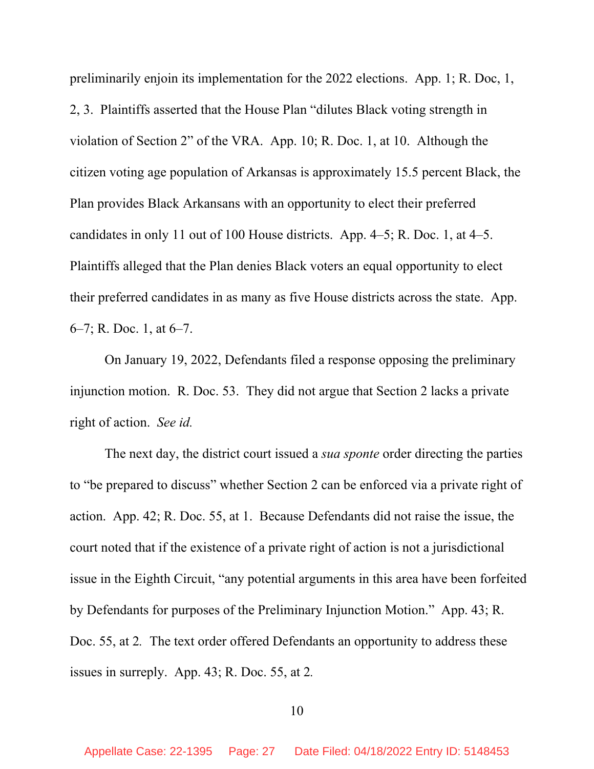preliminarily enjoin its implementation for the 2022 elections. App. 1; R. Doc, 1, 2, 3. Plaintiffs asserted that the House Plan "dilutes Black voting strength in violation of Section 2" of the VRA. App. 10; R. Doc. 1, at 10. Although the citizen voting age population of Arkansas is approximately 15.5 percent Black, the Plan provides Black Arkansans with an opportunity to elect their preferred candidates in only 11 out of 100 House districts. App. 4–5; R. Doc. 1, at 4–5. Plaintiffs alleged that the Plan denies Black voters an equal opportunity to elect their preferred candidates in as many as five House districts across the state. App. 6–7; R. Doc. 1, at 6–7.

On January 19, 2022, Defendants filed a response opposing the preliminary injunction motion. R. Doc. 53. They did not argue that Section 2 lacks a private right of action. *See id.*

The next day, the district court issued a *sua sponte* order directing the parties to "be prepared to discuss" whether Section 2 can be enforced via a private right of action. App. 42; R. Doc. 55, at 1. Because Defendants did not raise the issue, the court noted that if the existence of a private right of action is not a jurisdictional issue in the Eighth Circuit, "any potential arguments in this area have been forfeited by Defendants for purposes of the Preliminary Injunction Motion." App. 43; R. Doc. 55, at 2. The text order offered Defendants an opportunity to address these issues in surreply. App. 43; R. Doc. 55, at 2*.* 

#### 10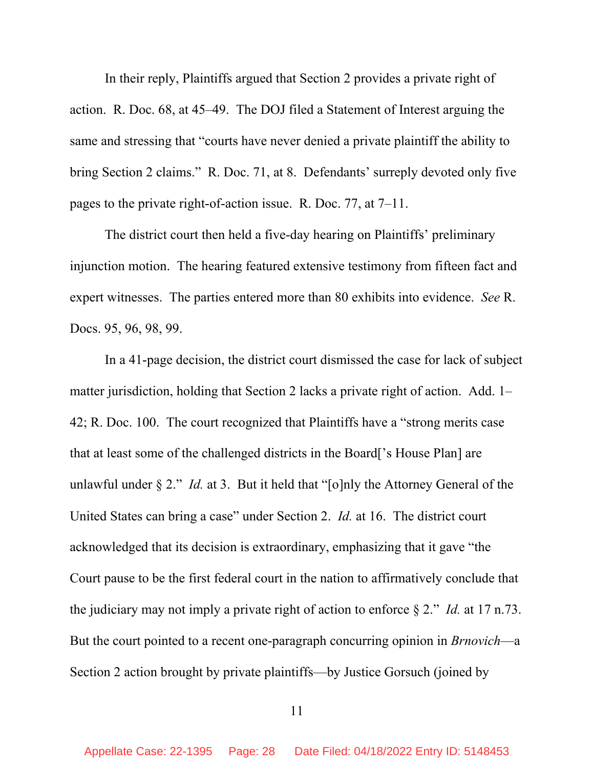In their reply, Plaintiffs argued that Section 2 provides a private right of action. R. Doc. 68, at 45–49. The DOJ filed a Statement of Interest arguing the same and stressing that "courts have never denied a private plaintiff the ability to bring Section 2 claims." R. Doc. 71, at 8. Defendants' surreply devoted only five pages to the private right-of-action issue. R. Doc. 77, at 7–11.

The district court then held a five-day hearing on Plaintiffs' preliminary injunction motion. The hearing featured extensive testimony from fifteen fact and expert witnesses. The parties entered more than 80 exhibits into evidence. *See* R. Docs. 95, 96, 98, 99.

In a 41-page decision, the district court dismissed the case for lack of subject matter jurisdiction, holding that Section 2 lacks a private right of action. Add. 1– 42; R. Doc. 100. The court recognized that Plaintiffs have a "strong merits case that at least some of the challenged districts in the Board['s House Plan] are unlawful under § 2." *Id.* at 3. But it held that "[o]nly the Attorney General of the United States can bring a case" under Section 2. *Id.* at 16. The district court acknowledged that its decision is extraordinary, emphasizing that it gave "the Court pause to be the first federal court in the nation to affirmatively conclude that the judiciary may not imply a private right of action to enforce § 2." *Id.* at 17 n.73. But the court pointed to a recent one-paragraph concurring opinion in *Brnovich*—a Section 2 action brought by private plaintiffs—by Justice Gorsuch (joined by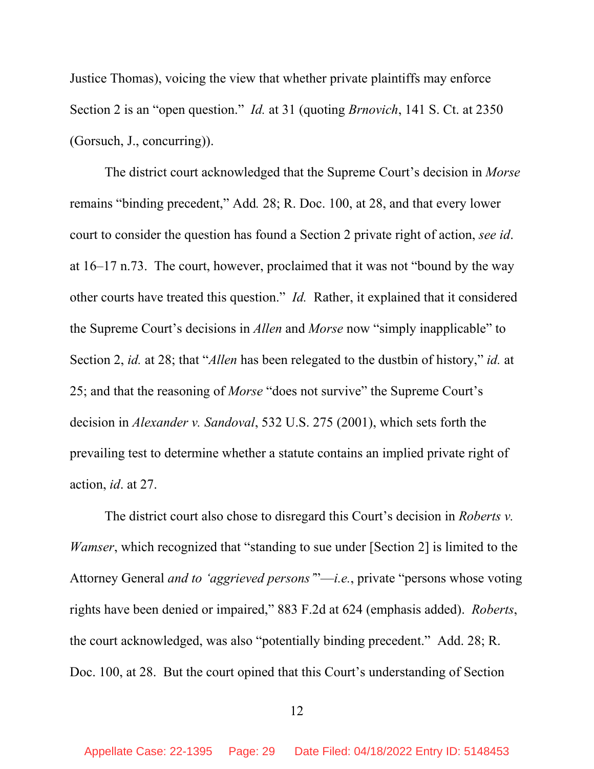Justice Thomas), voicing the view that whether private plaintiffs may enforce Section 2 is an "open question." *Id.* at 31 (quoting *Brnovich*, 141 S. Ct. at 2350 (Gorsuch, J., concurring)).

The district court acknowledged that the Supreme Court's decision in *Morse* remains "binding precedent," Add*.* 28; R. Doc. 100, at 28, and that every lower court to consider the question has found a Section 2 private right of action, *see id*. at 16–17 n.73. The court, however, proclaimed that it was not "bound by the way other courts have treated this question." *Id.* Rather, it explained that it considered the Supreme Court's decisions in *Allen* and *Morse* now "simply inapplicable" to Section 2, *id.* at 28; that "*Allen* has been relegated to the dustbin of history," *id.* at 25; and that the reasoning of *Morse* "does not survive" the Supreme Court's decision in *Alexander v. Sandoval*, 532 U.S. 275 (2001), which sets forth the prevailing test to determine whether a statute contains an implied private right of action, *id*. at 27.

The district court also chose to disregard this Court's decision in *Roberts v. Wamser*, which recognized that "standing to sue under [Section 2] is limited to the Attorney General *and to 'aggrieved persons'*"—*i.e.*, private "persons whose voting rights have been denied or impaired," 883 F.2d at 624 (emphasis added). *Roberts*, the court acknowledged, was also "potentially binding precedent." Add. 28; R. Doc. 100, at 28. But the court opined that this Court's understanding of Section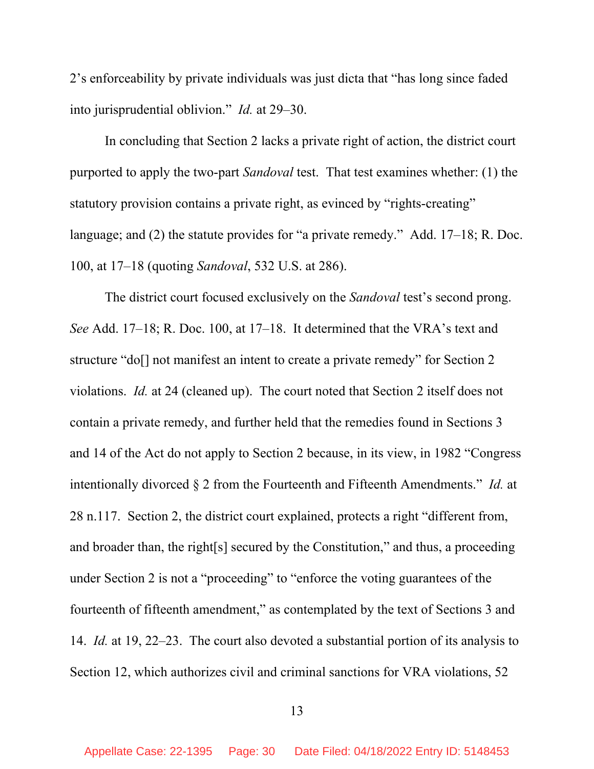2's enforceability by private individuals was just dicta that "has long since faded into jurisprudential oblivion." *Id.* at 29–30.

In concluding that Section 2 lacks a private right of action, the district court purported to apply the two-part *Sandoval* test. That test examines whether: (1) the statutory provision contains a private right, as evinced by "rights-creating" language; and (2) the statute provides for "a private remedy." Add. 17–18; R. Doc. 100, at 17–18 (quoting *Sandoval*, 532 U.S. at 286).

The district court focused exclusively on the *Sandoval* test's second prong. *See* Add. 17–18; R. Doc. 100, at 17–18. It determined that the VRA's text and structure "do[] not manifest an intent to create a private remedy" for Section 2 violations. *Id.* at 24 (cleaned up). The court noted that Section 2 itself does not contain a private remedy, and further held that the remedies found in Sections 3 and 14 of the Act do not apply to Section 2 because, in its view, in 1982 "Congress intentionally divorced § 2 from the Fourteenth and Fifteenth Amendments." *Id.* at 28 n.117. Section 2, the district court explained, protects a right "different from, and broader than, the right[s] secured by the Constitution," and thus, a proceeding under Section 2 is not a "proceeding" to "enforce the voting guarantees of the fourteenth of fifteenth amendment," as contemplated by the text of Sections 3 and 14. *Id.* at 19, 22–23. The court also devoted a substantial portion of its analysis to Section 12, which authorizes civil and criminal sanctions for VRA violations, 52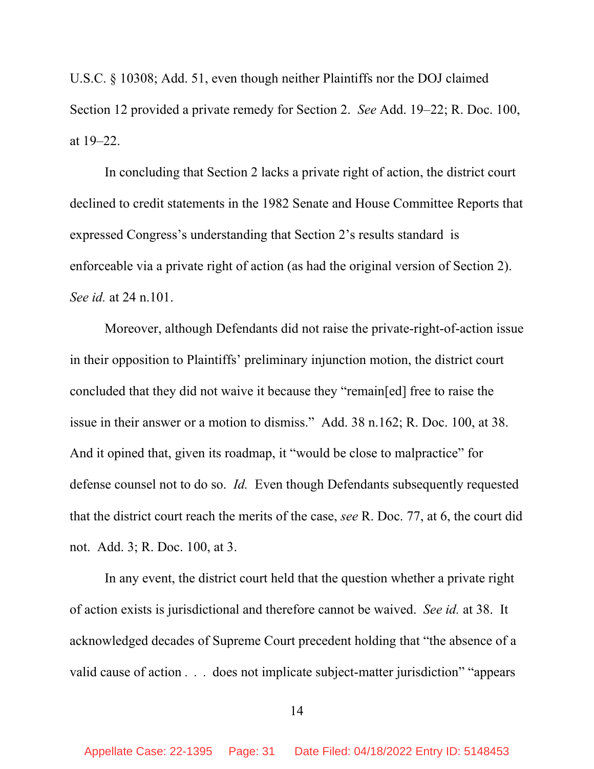U.S.C. § 10308; Add. 51, even though neither Plaintiffs nor the DOJ claimed Section 12 provided a private remedy for Section 2. *See* Add. 19–22; R. Doc. 100, at 19–22.

In concluding that Section 2 lacks a private right of action, the district court declined to credit statements in the 1982 Senate and House Committee Reports that expressed Congress's understanding that Section 2's results standard is enforceable via a private right of action (as had the original version of Section 2). *See id.* at 24 n.101.

Moreover, although Defendants did not raise the private-right-of-action issue in their opposition to Plaintiffs' preliminary injunction motion, the district court concluded that they did not waive it because they "remain[ed] free to raise the issue in their answer or a motion to dismiss." Add. 38 n.162; R. Doc. 100, at 38. And it opined that, given its roadmap, it "would be close to malpractice" for defense counsel not to do so. *Id.* Even though Defendants subsequently requested that the district court reach the merits of the case, *see* R. Doc. 77, at 6, the court did not. Add. 3; R. Doc. 100, at 3.

In any event, the district court held that the question whether a private right of action exists is jurisdictional and therefore cannot be waived. *See id.* at 38. It acknowledged decades of Supreme Court precedent holding that "the absence of a valid cause of action *...* does not implicate subject-matter jurisdiction" "appears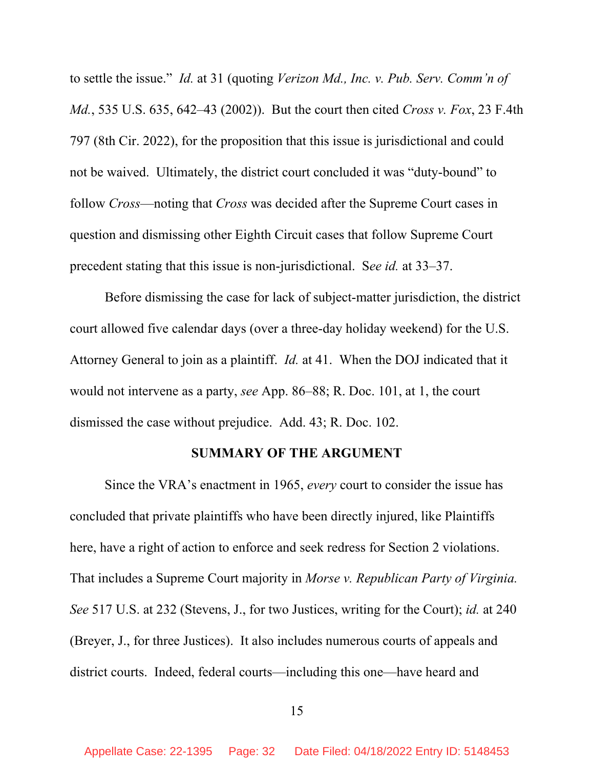to settle the issue." *Id.* at 31 (quoting *Verizon Md., Inc. v. Pub. Serv. Comm'n of Md.*, 535 U.S. 635, 642–43 (2002)). But the court then cited *Cross v. Fox*, 23 F.4th 797 (8th Cir. 2022), for the proposition that this issue is jurisdictional and could not be waived. Ultimately, the district court concluded it was "duty-bound" to follow *Cross*—noting that *Cross* was decided after the Supreme Court cases in question and dismissing other Eighth Circuit cases that follow Supreme Court precedent stating that this issue is non-jurisdictional. S*ee id.* at 33–37.

Before dismissing the case for lack of subject-matter jurisdiction, the district court allowed five calendar days (over a three-day holiday weekend) for the U.S. Attorney General to join as a plaintiff. *Id.* at 41. When the DOJ indicated that it would not intervene as a party, *see* App. 86–88; R. Doc. 101, at 1, the court dismissed the case without prejudice. Add. 43; R. Doc. 102.

### **SUMMARY OF THE ARGUMENT**

Since the VRA's enactment in 1965, *every* court to consider the issue has concluded that private plaintiffs who have been directly injured, like Plaintiffs here, have a right of action to enforce and seek redress for Section 2 violations. That includes a Supreme Court majority in *Morse v. Republican Party of Virginia. See* 517 U.S. at 232 (Stevens, J., for two Justices, writing for the Court); *id.* at 240 (Breyer, J., for three Justices). It also includes numerous courts of appeals and district courts. Indeed, federal courts—including this one—have heard and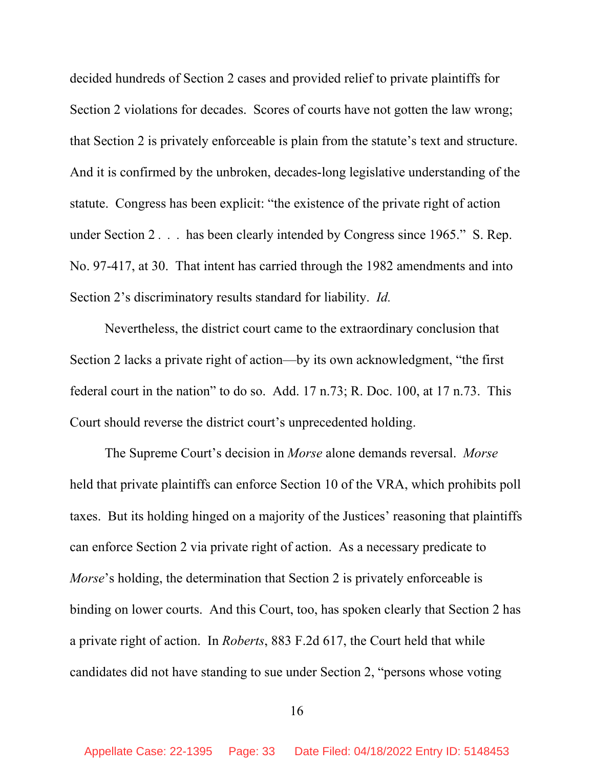decided hundreds of Section 2 cases and provided relief to private plaintiffs for Section 2 violations for decades. Scores of courts have not gotten the law wrong; that Section 2 is privately enforceable is plain from the statute's text and structure. And it is confirmed by the unbroken, decades-long legislative understanding of the statute. Congress has been explicit: "the existence of the private right of action under Section 2 *...* has been clearly intended by Congress since 1965." S. Rep. No. 97-417, at 30. That intent has carried through the 1982 amendments and into Section 2's discriminatory results standard for liability. *Id.* 

Nevertheless, the district court came to the extraordinary conclusion that Section 2 lacks a private right of action—by its own acknowledgment, "the first federal court in the nation" to do so. Add. 17 n.73; R. Doc. 100, at 17 n.73. This Court should reverse the district court's unprecedented holding.

The Supreme Court's decision in *Morse* alone demands reversal. *Morse*  held that private plaintiffs can enforce Section 10 of the VRA, which prohibits poll taxes. But its holding hinged on a majority of the Justices' reasoning that plaintiffs can enforce Section 2 via private right of action. As a necessary predicate to *Morse*'s holding, the determination that Section 2 is privately enforceable is binding on lower courts. And this Court, too, has spoken clearly that Section 2 has a private right of action. In *Roberts*, 883 F.2d 617, the Court held that while candidates did not have standing to sue under Section 2, "persons whose voting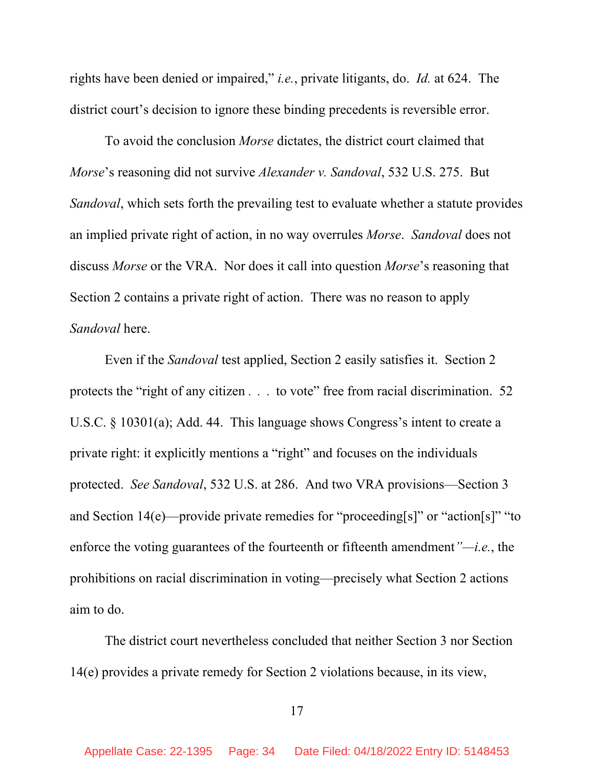rights have been denied or impaired," *i.e.*, private litigants, do. *Id.* at 624. The district court's decision to ignore these binding precedents is reversible error.

To avoid the conclusion *Morse* dictates, the district court claimed that *Morse*'s reasoning did not survive *Alexander v. Sandoval*, 532 U.S. 275. But *Sandoval*, which sets forth the prevailing test to evaluate whether a statute provides an implied private right of action, in no way overrules *Morse*. *Sandoval* does not discuss *Morse* or the VRA. Nor does it call into question *Morse*'s reasoning that Section 2 contains a private right of action. There was no reason to apply *Sandoval* here.

Even if the *Sandoval* test applied, Section 2 easily satisfies it. Section 2 protects the "right of any citizen . . . to vote" free from racial discrimination. 52 U.S.C. § 10301(a); Add. 44. This language shows Congress's intent to create a private right: it explicitly mentions a "right" and focuses on the individuals protected. *See Sandoval*, 532 U.S. at 286. And two VRA provisions—Section 3 and Section 14(e)—provide private remedies for "proceeding[s]" or "action[s]" "to enforce the voting guarantees of the fourteenth or fifteenth amendment*"—i.e.*, the prohibitions on racial discrimination in voting—precisely what Section 2 actions aim to do.

The district court nevertheless concluded that neither Section 3 nor Section 14(e) provides a private remedy for Section 2 violations because, in its view,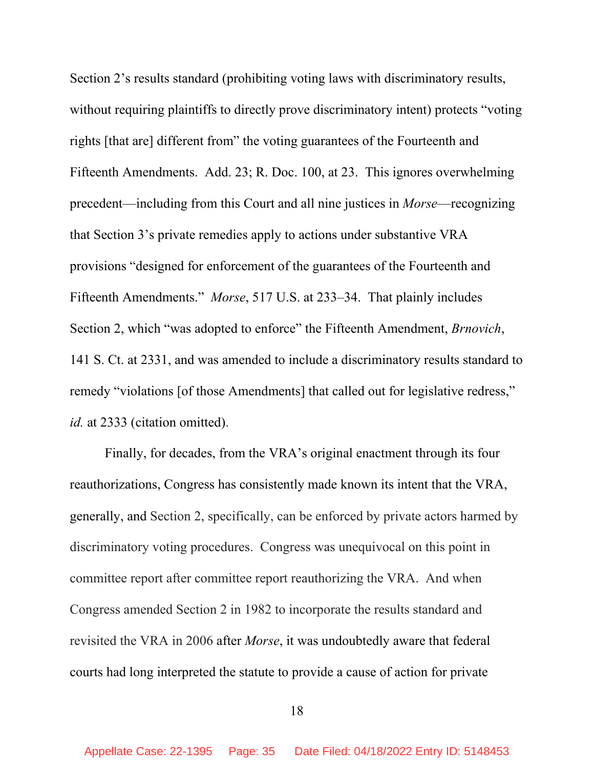Section 2's results standard (prohibiting voting laws with discriminatory results, without requiring plaintiffs to directly prove discriminatory intent) protects "voting rights [that are] different from" the voting guarantees of the Fourteenth and Fifteenth Amendments. Add. 23; R. Doc. 100, at 23. This ignores overwhelming precedent—including from this Court and all nine justices in *Morse*—recognizing that Section 3's private remedies apply to actions under substantive VRA provisions "designed for enforcement of the guarantees of the Fourteenth and Fifteenth Amendments." *Morse*, 517 U.S. at 233–34. That plainly includes Section 2, which "was adopted to enforce" the Fifteenth Amendment, *Brnovich*, 141 S. Ct. at 2331, and was amended to include a discriminatory results standard to remedy "violations [of those Amendments] that called out for legislative redress," *id.* at 2333 (citation omitted).

Finally, for decades, from the VRA's original enactment through its four reauthorizations, Congress has consistently made known its intent that the VRA, generally, and Section 2, specifically, can be enforced by private actors harmed by discriminatory voting procedures. Congress was unequivocal on this point in committee report after committee report reauthorizing the VRA. And when Congress amended Section 2 in 1982 to incorporate the results standard and revisited the VRA in 2006 after *Morse*, it was undoubtedly aware that federal courts had long interpreted the statute to provide a cause of action for private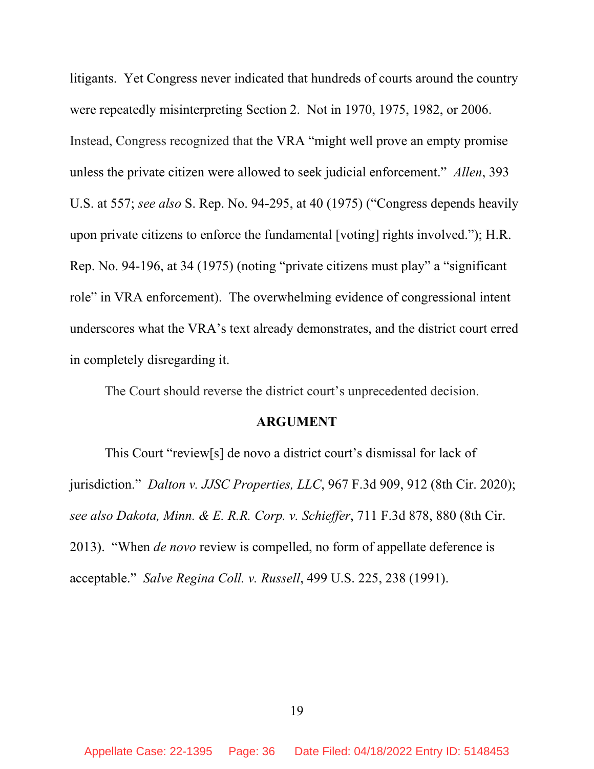litigants. Yet Congress never indicated that hundreds of courts around the country were repeatedly misinterpreting Section 2. Not in 1970, 1975, 1982, or 2006. Instead, Congress recognized that the VRA "might well prove an empty promise unless the private citizen were allowed to seek judicial enforcement." *Allen*, 393 U.S. at 557; *see also* S. Rep. No. 94-295, at 40 (1975) ("Congress depends heavily upon private citizens to enforce the fundamental [voting] rights involved."); H.R. Rep. No. 94-196, at 34 (1975) (noting "private citizens must play" a "significant role" in VRA enforcement). The overwhelming evidence of congressional intent underscores what the VRA's text already demonstrates, and the district court erred in completely disregarding it.

The Court should reverse the district court's unprecedented decision.

#### **ARGUMENT**

This Court "review[s] de novo a district court's dismissal for lack of jurisdiction." *Dalton v. JJSC Properties, LLC*, 967 F.3d 909, 912 (8th Cir. 2020); *see also Dakota, Minn. & E. R.R. Corp. v. Schieffer*, 711 F.3d 878, 880 (8th Cir. 2013). "When *de novo* review is compelled, no form of appellate deference is acceptable." *Salve Regina Coll. v. Russell*, 499 U.S. 225, 238 (1991).

19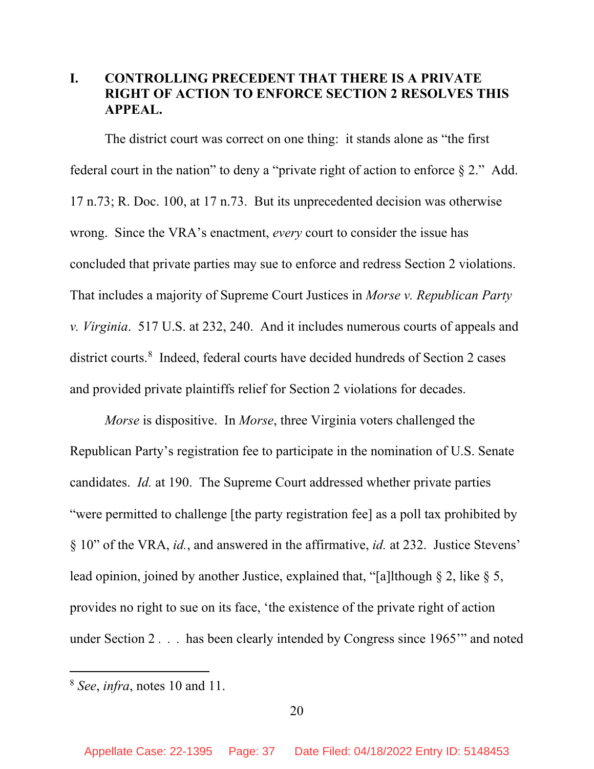## **I. CONTROLLING PRECEDENT THAT THERE IS A PRIVATE RIGHT OF ACTION TO ENFORCE SECTION 2 RESOLVES THIS APPEAL.**

The district court was correct on one thing: it stands alone as "the first federal court in the nation" to deny a "private right of action to enforce § 2." Add. 17 n.73; R. Doc. 100, at 17 n.73. But its unprecedented decision was otherwise wrong. Since the VRA's enactment, *every* court to consider the issue has concluded that private parties may sue to enforce and redress Section 2 violations. That includes a majority of Supreme Court Justices in *Morse v. Republican Party v. Virginia*. 517 U.S. at 232, 240. And it includes numerous courts of appeals and district courts. [8](#page-36-0) Indeed, federal courts have decided hundreds of Section 2 cases and provided private plaintiffs relief for Section 2 violations for decades.

*Morse* is dispositive. In *Morse*, three Virginia voters challenged the Republican Party's registration fee to participate in the nomination of U.S. Senate candidates. *Id.* at 190. The Supreme Court addressed whether private parties "were permitted to challenge [the party registration fee] as a poll tax prohibited by § 10" of the VRA, *id.*, and answered in the affirmative, *id.* at 232. Justice Stevens' lead opinion, joined by another Justice, explained that, "[a]lthough § 2, like § 5, provides no right to sue on its face, 'the existence of the private right of action under Section 2 *...* has been clearly intended by Congress since 1965'" and noted

<span id="page-36-0"></span> <sup>8</sup> *See*, *infra*, notes 10 and 11.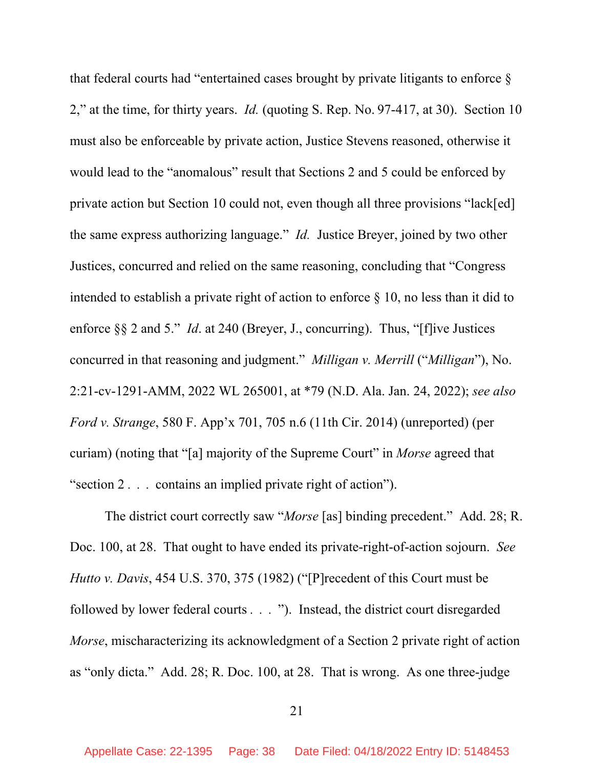that federal courts had "entertained cases brought by private litigants to enforce § 2," at the time, for thirty years. *Id.* (quoting S. Rep. No. 97-417, at 30). Section 10 must also be enforceable by private action, Justice Stevens reasoned, otherwise it would lead to the "anomalous" result that Sections 2 and 5 could be enforced by private action but Section 10 could not, even though all three provisions "lack[ed] the same express authorizing language." *Id.* Justice Breyer, joined by two other Justices, concurred and relied on the same reasoning, concluding that "Congress intended to establish a private right of action to enforce § 10, no less than it did to enforce §§ 2 and 5." *Id*. at 240 (Breyer, J., concurring). Thus, "[f]ive Justices concurred in that reasoning and judgment." *Milligan v. Merrill* ("*Milligan*"), No. 2:21-cv-1291-AMM, 2022 WL 265001, at \*79 (N.D. Ala. Jan. 24, 2022); *see also Ford v. Strange*, 580 F. App'x 701, 705 n.6 (11th Cir. 2014) (unreported) (per curiam) (noting that "[a] majority of the Supreme Court" in *Morse* agreed that "section 2 *...* contains an implied private right of action").

The district court correctly saw "*Morse* [as] binding precedent." Add. 28; R. Doc. 100, at 28. That ought to have ended its private-right-of-action sojourn. *See Hutto v. Davis*, 454 U.S. 370, 375 (1982) ("[P]recedent of this Court must be followed by lower federal courts *...* "). Instead, the district court disregarded *Morse*, mischaracterizing its acknowledgment of a Section 2 private right of action as "only dicta." Add. 28; R. Doc. 100, at 28. That is wrong. As one three-judge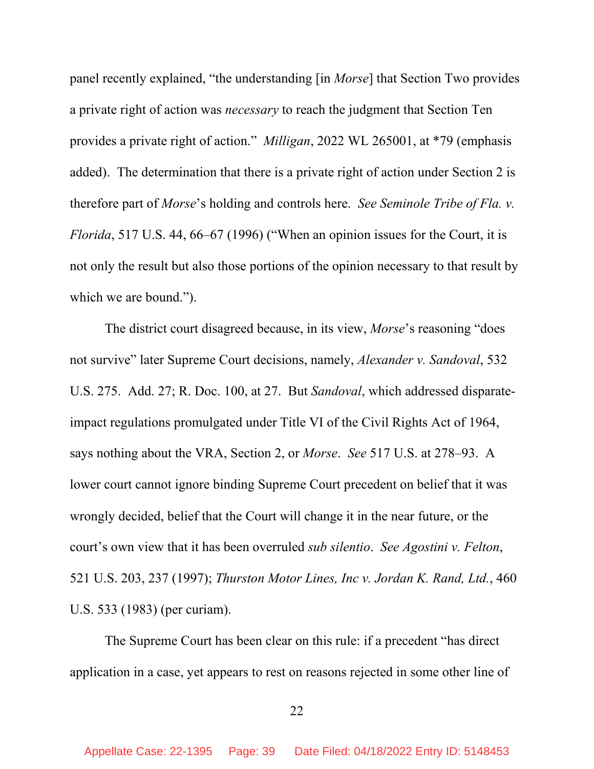panel recently explained, "the understanding [in *Morse*] that Section Two provides a private right of action was *necessary* to reach the judgment that Section Ten provides a private right of action." *Milligan*, 2022 WL 265001, at \*79 (emphasis added). The determination that there is a private right of action under Section 2 is therefore part of *Morse*'s holding and controls here. *See Seminole Tribe of Fla. v. Florida*, 517 U.S. 44, 66–67 (1996) ("When an opinion issues for the Court, it is not only the result but also those portions of the opinion necessary to that result by which we are bound.").

The district court disagreed because, in its view, *Morse*'s reasoning "does not survive" later Supreme Court decisions, namely, *Alexander v. Sandoval*, 532 U.S. 275. Add. 27; R. Doc. 100, at 27. But *Sandoval*, which addressed disparateimpact regulations promulgated under Title VI of the Civil Rights Act of 1964, says nothing about the VRA, Section 2, or *Morse*. *See* 517 U.S. at 278–93. A lower court cannot ignore binding Supreme Court precedent on belief that it was wrongly decided, belief that the Court will change it in the near future, or the court's own view that it has been overruled *sub silentio*. *See Agostini v. Felton*, 521 U.S. 203, 237 (1997); *Thurston Motor Lines, Inc v. Jordan K. Rand, Ltd.*, 460 U.S. 533 (1983) (per curiam).

The Supreme Court has been clear on this rule: if a precedent "has direct application in a case, yet appears to rest on reasons rejected in some other line of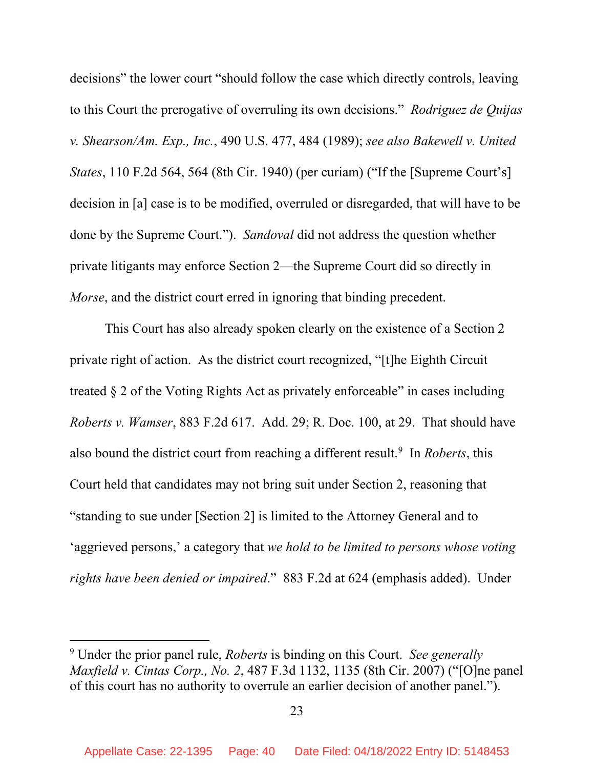decisions" the lower court "should follow the case which directly controls, leaving to this Court the prerogative of overruling its own decisions." *Rodriguez de Quijas v. Shearson/Am. Exp., Inc.*, 490 U.S. 477, 484 (1989); *see also Bakewell v. United States*, 110 F.2d 564, 564 (8th Cir. 1940) (per curiam) ("If the [Supreme Court's] decision in [a] case is to be modified, overruled or disregarded, that will have to be done by the Supreme Court."). *Sandoval* did not address the question whether private litigants may enforce Section 2—the Supreme Court did so directly in *Morse*, and the district court erred in ignoring that binding precedent.

This Court has also already spoken clearly on the existence of a Section 2 private right of action. As the district court recognized, "[t]he Eighth Circuit treated § 2 of the Voting Rights Act as privately enforceable" in cases including *Roberts v. Wamser*, 883 F.2d 617. Add. 29; R. Doc. 100, at 29. That should have also bound the district court from reaching a different result.<sup>[9](#page-39-0)</sup> In *Roberts*, this Court held that candidates may not bring suit under Section 2, reasoning that "standing to sue under [Section 2] is limited to the Attorney General and to 'aggrieved persons,' a category that *we hold to be limited to persons whose voting rights have been denied or impaired*." 883 F.2d at 624 (emphasis added). Under

<span id="page-39-0"></span> <sup>9</sup> Under the prior panel rule, *Roberts* is binding on this Court. *See generally Maxfield v. Cintas Corp., No. 2*, 487 F.3d 1132, 1135 (8th Cir. 2007) ("[O]ne panel of this court has no authority to overrule an earlier decision of another panel.").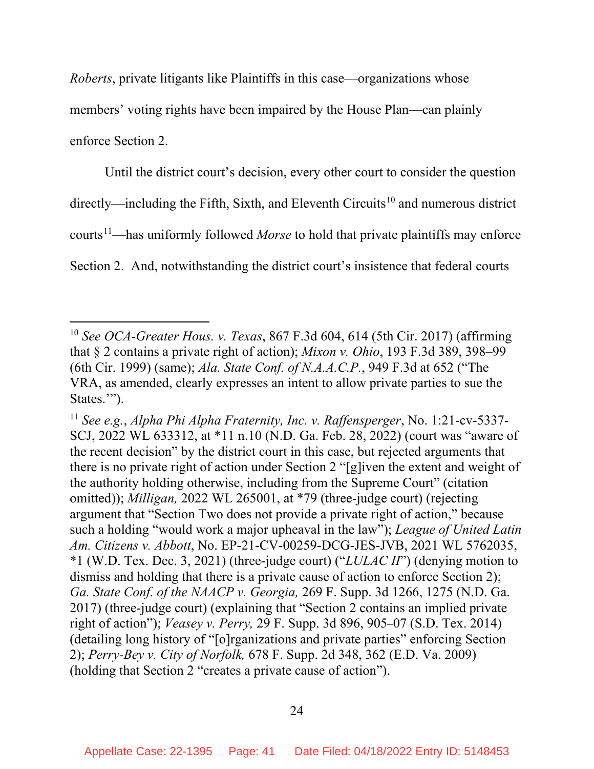*Roberts*, private litigants like Plaintiffs in this case—organizations whose members' voting rights have been impaired by the House Plan—can plainly enforce Section 2.

Until the district court's decision, every other court to consider the question  $divectly—including the Fifth, Sixth, and Eleventh Circuits<sup>10</sup> and numerous district$  $divectly—including the Fifth, Sixth, and Eleventh Circuits<sup>10</sup> and numerous district$  $divectly—including the Fifth, Sixth, and Eleventh Circuits<sup>10</sup> and numerous district$ courts[11—](#page-40-1)has uniformly followed *Morse* to hold that private plaintiffs may enforce Section 2. And, notwithstanding the district court's insistence that federal courts

<span id="page-40-0"></span> <sup>10</sup> *See OCA-Greater Hous. v. Texas*, 867 F.3d 604, 614 (5th Cir. 2017) (affirming that § 2 contains a private right of action); *Mixon v. Ohio*, 193 F.3d 389, 398–99 (6th Cir. 1999) (same); *Ala. State Conf. of N.A.A.C.P.*, 949 F.3d at 652 ("The VRA, as amended, clearly expresses an intent to allow private parties to sue the States."").

<span id="page-40-1"></span><sup>11</sup> *See e.g.*, *Alpha Phi Alpha Fraternity, Inc. v. Raffensperger*, No. 1:21-cv-5337- SCJ, 2022 WL 633312, at \*11 n.10 (N.D. Ga. Feb. 28, 2022) (court was "aware of the recent decision" by the district court in this case, but rejected arguments that there is no private right of action under Section 2 "[g]iven the extent and weight of the authority holding otherwise, including from the Supreme Court" (citation omitted)); *Milligan,* 2022 WL 265001, at \*79 (three-judge court) (rejecting argument that "Section Two does not provide a private right of action," because such a holding "would work a major upheaval in the law"); *League of United Latin Am. Citizens v. Abbott*, No. EP-21-CV-00259-DCG-JES-JVB, 2021 WL 5762035, \*1 (W.D. Tex. Dec. 3, 2021) (three-judge court) ("*LULAC II*") (denying motion to dismiss and holding that there is a private cause of action to enforce Section 2); *Ga. State Conf. of the NAACP v. Georgia,* 269 F. Supp. 3d 1266, 1275 (N.D. Ga. 2017) (three-judge court) (explaining that "Section 2 contains an implied private right of action"); *Veasey v. Perry,* 29 F. Supp. 3d 896, 905–07 (S.D. Tex. 2014) (detailing long history of "[o]rganizations and private parties" enforcing Section 2); *Perry-Bey v. City of Norfolk,* 678 F. Supp. 2d 348, 362 (E.D. Va. 2009) (holding that Section 2 "creates a private cause of action").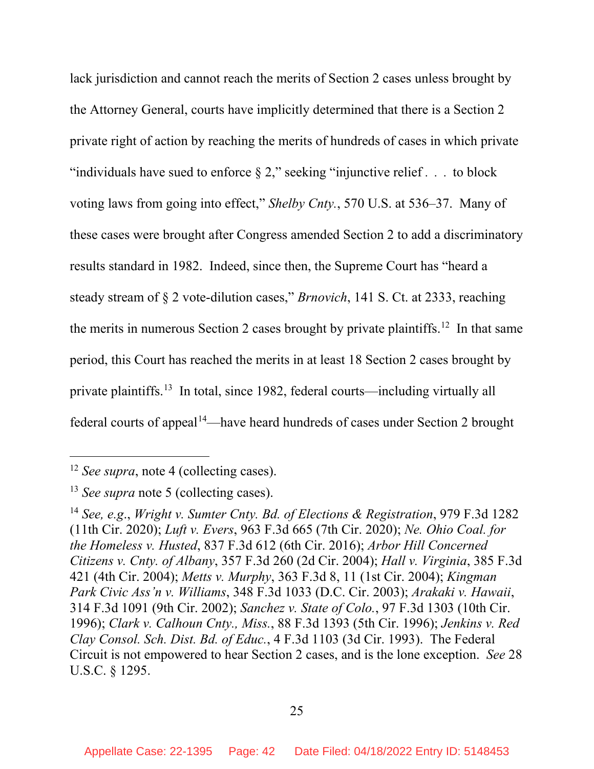lack jurisdiction and cannot reach the merits of Section 2 cases unless brought by the Attorney General, courts have implicitly determined that there is a Section 2 private right of action by reaching the merits of hundreds of cases in which private "individuals have sued to enforce § 2," seeking "injunctive relief *...* to block voting laws from going into effect," *Shelby Cnty.*, 570 U.S. at 536–37. Many of these cases were brought after Congress amended Section 2 to add a discriminatory results standard in 1982. Indeed, since then, the Supreme Court has "heard a steady stream of § 2 vote-dilution cases," *Brnovich*, 141 S. Ct. at 2333, reaching the merits in numerous Section 2 cases brought by private plaintiffs.<sup>[12](#page-41-0)</sup> In that same period, this Court has reached the merits in at least 18 Section 2 cases brought by private plaintiffs.[13](#page-41-1) In total, since 1982, federal courts—including virtually all federal courts of appeal<sup>[14](#page-41-2)</sup>—have heard hundreds of cases under Section 2 brought

<span id="page-41-0"></span><sup>&</sup>lt;sup>12</sup> *See supra*, note 4 (collecting cases).

<span id="page-41-1"></span><sup>&</sup>lt;sup>13</sup> *See supra* note 5 (collecting cases).

<span id="page-41-2"></span><sup>14</sup> *See, e.g*., *Wright v. Sumter Cnty. Bd. of Elections & Registration*, 979 F.3d 1282 (11th Cir. 2020); *Luft v. Evers*, 963 F.3d 665 (7th Cir. 2020); *Ne. Ohio Coal. for the Homeless v. Husted*, 837 F.3d 612 (6th Cir. 2016); *Arbor Hill Concerned Citizens v. Cnty. of Albany*, 357 F.3d 260 (2d Cir. 2004); *Hall v. Virginia*, 385 F.3d 421 (4th Cir. 2004); *Metts v. Murphy*, 363 F.3d 8, 11 (1st Cir. 2004); *Kingman Park Civic Ass'n v. Williams*, 348 F.3d 1033 (D.C. Cir. 2003); *Arakaki v. Hawaii*, 314 F.3d 1091 (9th Cir. 2002); *Sanchez v. State of Colo.*, 97 F.3d 1303 (10th Cir. 1996); *Clark v. Calhoun Cnty., Miss.*, 88 F.3d 1393 (5th Cir. 1996); *Jenkins v. Red Clay Consol. Sch. Dist. Bd. of Educ.*, 4 F.3d 1103 (3d Cir. 1993). The Federal Circuit is not empowered to hear Section 2 cases, and is the lone exception. *See* 28 U.S.C. § 1295.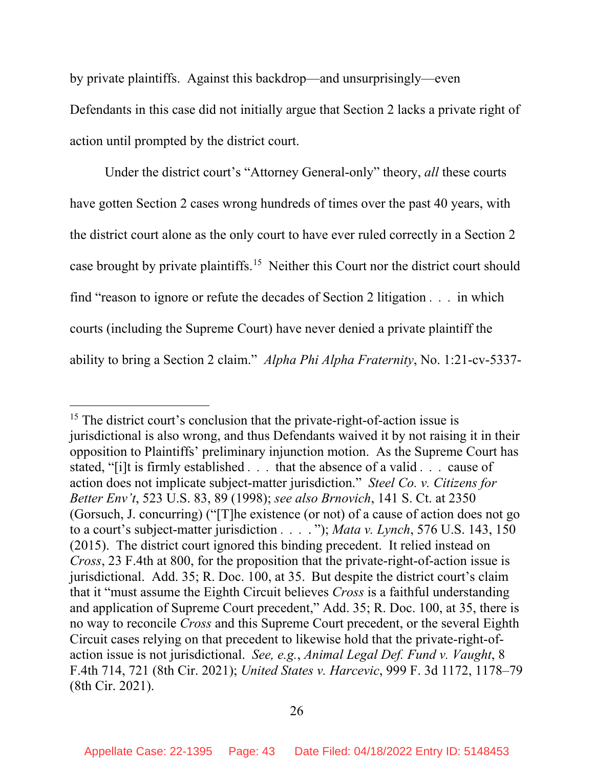by private plaintiffs. Against this backdrop—and unsurprisingly—even Defendants in this case did not initially argue that Section 2 lacks a private right of action until prompted by the district court.

Under the district court's "Attorney General-only" theory, *all* these courts have gotten Section 2 cases wrong hundreds of times over the past 40 years, with the district court alone as the only court to have ever ruled correctly in a Section 2 case brought by private plaintiffs.<sup>[15](#page-42-0)</sup> Neither this Court nor the district court should find "reason to ignore or refute the decades of Section 2 litigation *...* in which courts (including the Supreme Court) have never denied a private plaintiff the ability to bring a Section 2 claim." *Alpha Phi Alpha Fraternity*, No. 1:21-cv-5337-

<span id="page-42-0"></span><sup>&</sup>lt;sup>15</sup> The district court's conclusion that the private-right-of-action issue is jurisdictional is also wrong, and thus Defendants waived it by not raising it in their opposition to Plaintiffs' preliminary injunction motion. As the Supreme Court has stated, "[i]t is firmly established *...* that the absence of a valid *...* cause of action does not implicate subject-matter jurisdiction." *Steel Co. v. Citizens for Better Env't*, 523 U.S. 83, 89 (1998); *see also Brnovich*, 141 S. Ct. at 2350 (Gorsuch, J. concurring) ("[T]he existence (or not) of a cause of action does not go to a court's subject-matter jurisdiction *...* . "); *Mata v. Lynch*, 576 U.S. 143, 150 (2015). The district court ignored this binding precedent. It relied instead on *Cross*, 23 F.4th at 800, for the proposition that the private-right-of-action issue is jurisdictional. Add. 35; R. Doc. 100, at 35. But despite the district court's claim that it "must assume the Eighth Circuit believes *Cross* is a faithful understanding and application of Supreme Court precedent," Add. 35; R. Doc. 100, at 35, there is no way to reconcile *Cross* and this Supreme Court precedent, or the several Eighth Circuit cases relying on that precedent to likewise hold that the private-right-ofaction issue is not jurisdictional. *See, e.g.*, *Animal Legal Def. Fund v. Vaught*, 8 F.4th 714, 721 (8th Cir. 2021); *United States v. Harcevic*, 999 F. 3d 1172, 1178–79 (8th Cir. 2021).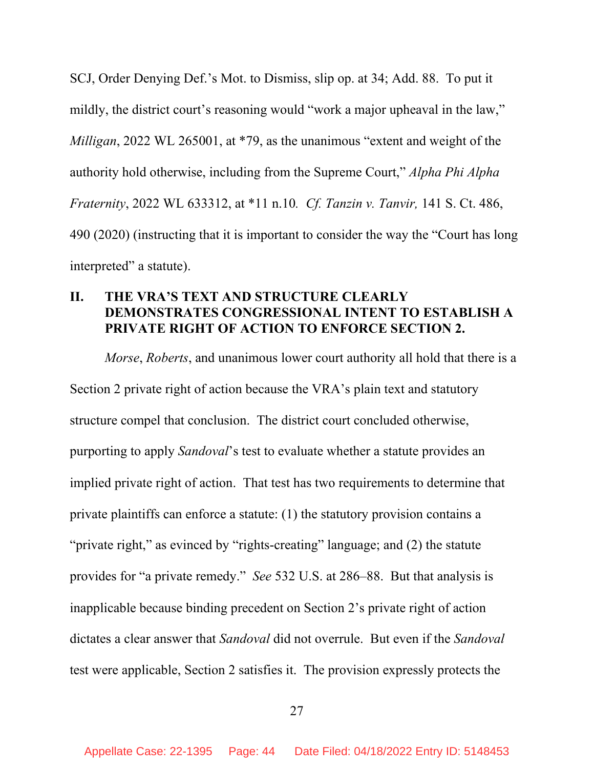SCJ, Order Denying Def.'s Mot. to Dismiss, slip op. at 34; Add. 88. To put it mildly, the district court's reasoning would "work a major upheaval in the law," *Milligan*, 2022 WL 265001, at \*79, as the unanimous "extent and weight of the authority hold otherwise, including from the Supreme Court," *Alpha Phi Alpha Fraternity*, 2022 WL 633312, at \*11 n.10*. Cf. Tanzin v. Tanvir,* 141 S. Ct. 486, 490 (2020) (instructing that it is important to consider the way the "Court has long interpreted" a statute).

## **II. THE VRA'S TEXT AND STRUCTURE CLEARLY DEMONSTRATES CONGRESSIONAL INTENT TO ESTABLISH A PRIVATE RIGHT OF ACTION TO ENFORCE SECTION 2.**

*Morse*, *Roberts*, and unanimous lower court authority all hold that there is a Section 2 private right of action because the VRA's plain text and statutory structure compel that conclusion. The district court concluded otherwise, purporting to apply *Sandoval*'s test to evaluate whether a statute provides an implied private right of action. That test has two requirements to determine that private plaintiffs can enforce a statute: (1) the statutory provision contains a "private right," as evinced by "rights-creating" language; and (2) the statute provides for "a private remedy." *See* 532 U.S. at 286–88. But that analysis is inapplicable because binding precedent on Section 2's private right of action dictates a clear answer that *Sandoval* did not overrule. But even if the *Sandoval*  test were applicable, Section 2 satisfies it. The provision expressly protects the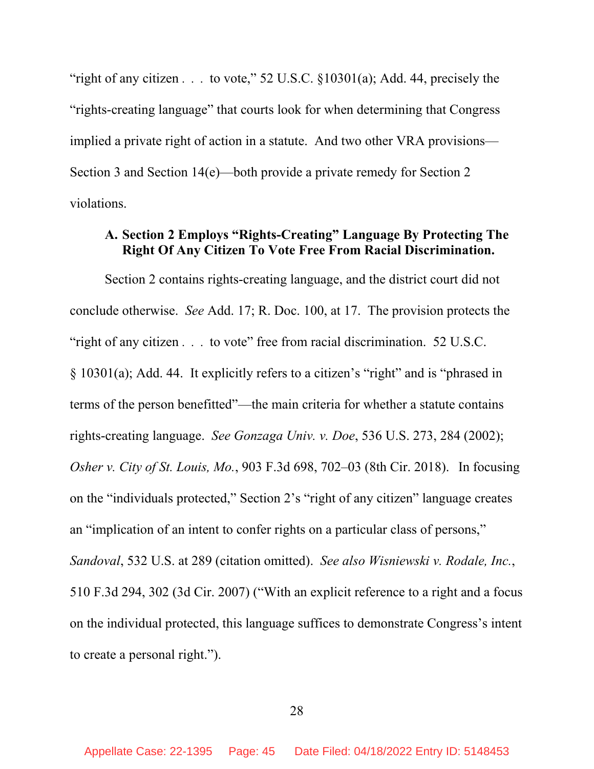"right of any citizen . . . to vote," 52 U.S.C. §10301(a); Add. 44, precisely the "rights-creating language" that courts look for when determining that Congress implied a private right of action in a statute. And two other VRA provisions— Section 3 and Section 14(e)—both provide a private remedy for Section 2 violations.

## **A. Section 2 Employs "Rights-Creating" Language By Protecting The Right Of Any Citizen To Vote Free From Racial Discrimination.**

Section 2 contains rights-creating language, and the district court did not conclude otherwise. *See* Add. 17; R. Doc. 100, at 17. The provision protects the "right of any citizen  $\ldots$  to vote" free from racial discrimination. 52 U.S.C. § 10301(a); Add. 44. It explicitly refers to a citizen's "right" and is "phrased in terms of the person benefitted"—the main criteria for whether a statute contains rights-creating language. *See Gonzaga Univ. v. Doe*, 536 U.S. 273, 284 (2002); *Osher v. City of St. Louis, Mo.*, 903 F.3d 698, 702–03 (8th Cir. 2018). In focusing on the "individuals protected," Section 2's "right of any citizen" language creates an "implication of an intent to confer rights on a particular class of persons," *Sandoval*, 532 U.S. at 289 (citation omitted). *See also Wisniewski v. Rodale, Inc.*, 510 F.3d 294, 302 (3d Cir. 2007) ("With an explicit reference to a right and a focus on the individual protected, this language suffices to demonstrate Congress's intent to create a personal right.").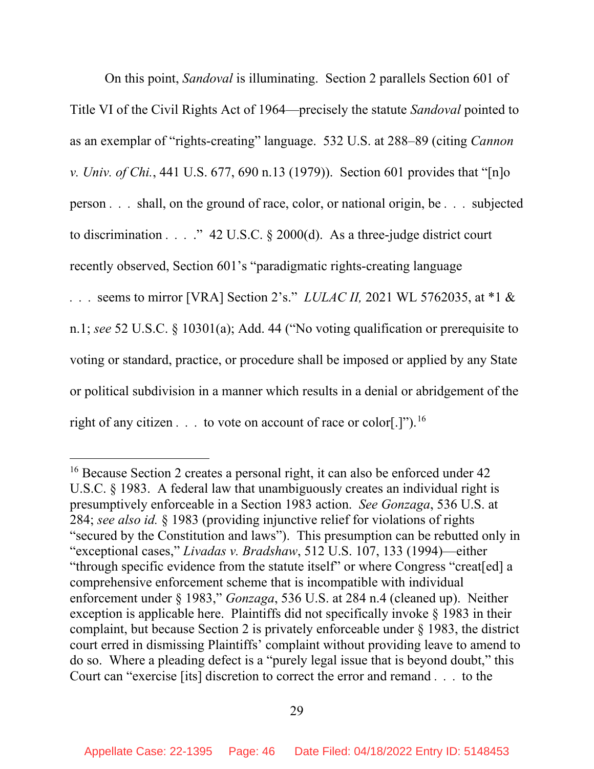On this point, *Sandoval* is illuminating. Section 2 parallels Section 601 of Title VI of the Civil Rights Act of 1964—precisely the statute *Sandoval* pointed to as an exemplar of "rights-creating" language. 532 U.S. at 288–89 (citing *Cannon v. Univ. of Chi.*, 441 U.S. 677, 690 n.13 (1979)). Section 601 provides that "[n]o person *...* shall, on the ground of race, color, or national origin, be *...* subjected to discrimination *...* ." 42 U.S.C. § 2000(d). As a three-judge district court recently observed, Section 601's "paradigmatic rights-creating language *...* seems to mirror [VRA] Section 2's." *LULAC II,* 2021 WL 5762035, at \*1 & n.1; *see* 52 U.S.C. § 10301(a); Add. 44 ("No voting qualification or prerequisite to voting or standard, practice, or procedure shall be imposed or applied by any State or political subdivision in a manner which results in a denial or abridgement of the right of any citizen  $\ldots$  to vote on account of race or color<sup>[1]</sup>.<sup>[16](#page-45-0)</sup>

<span id="page-45-0"></span><sup>&</sup>lt;sup>16</sup> Because Section 2 creates a personal right, it can also be enforced under 42 U.S.C. § 1983. A federal law that unambiguously creates an individual right is presumptively enforceable in a Section 1983 action. *See Gonzaga*, 536 U.S. at 284; *see also id.* § 1983 (providing injunctive relief for violations of rights "secured by the Constitution and laws"). This presumption can be rebutted only in "exceptional cases," *Livadas v. Bradshaw*, 512 U.S. 107, 133 (1994)—either "through specific evidence from the statute itself" or where Congress "creat[ed] a comprehensive enforcement scheme that is incompatible with individual enforcement under § 1983," *Gonzaga*, 536 U.S. at 284 n.4 (cleaned up). Neither exception is applicable here. Plaintiffs did not specifically invoke § 1983 in their complaint, but because Section 2 is privately enforceable under § 1983, the district court erred in dismissing Plaintiffs' complaint without providing leave to amend to do so. Where a pleading defect is a "purely legal issue that is beyond doubt," this Court can "exercise [its] discretion to correct the error and remand *...* to the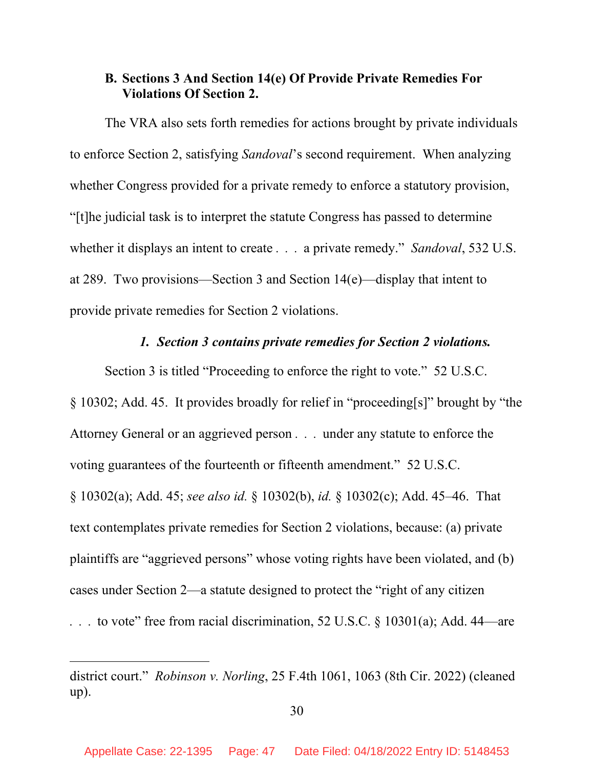## **B. Sections 3 And Section 14(e) Of Provide Private Remedies For Violations Of Section 2.**

The VRA also sets forth remedies for actions brought by private individuals to enforce Section 2, satisfying *Sandoval*'s second requirement. When analyzing whether Congress provided for a private remedy to enforce a statutory provision, "[t]he judicial task is to interpret the statute Congress has passed to determine whether it displays an intent to create *...* a private remedy." *Sandoval*, 532 U.S. at 289. Two provisions—Section 3 and Section 14(e)—display that intent to provide private remedies for Section 2 violations.

### *1. Section 3 contains private remedies for Section 2 violations.*

Section 3 is titled "Proceeding to enforce the right to vote." 52 U.S.C. § 10302; Add. 45. It provides broadly for relief in "proceeding[s]" brought by "the Attorney General or an aggrieved person *...* under any statute to enforce the voting guarantees of the fourteenth or fifteenth amendment." 52 U.S.C. § 10302(a); Add. 45; *see also id.* § 10302(b), *id.* § 10302(c); Add. 45–46. That text contemplates private remedies for Section 2 violations, because: (a) private plaintiffs are "aggrieved persons" whose voting rights have been violated, and (b) cases under Section 2—a statute designed to protect the "right of any citizen *...* to vote" free from racial discrimination, 52 U.S.C. § 10301(a); Add. 44—are

 $\overline{a}$ 

district court." *Robinson v. Norling*, 25 F.4th 1061, 1063 (8th Cir. 2022) (cleaned up).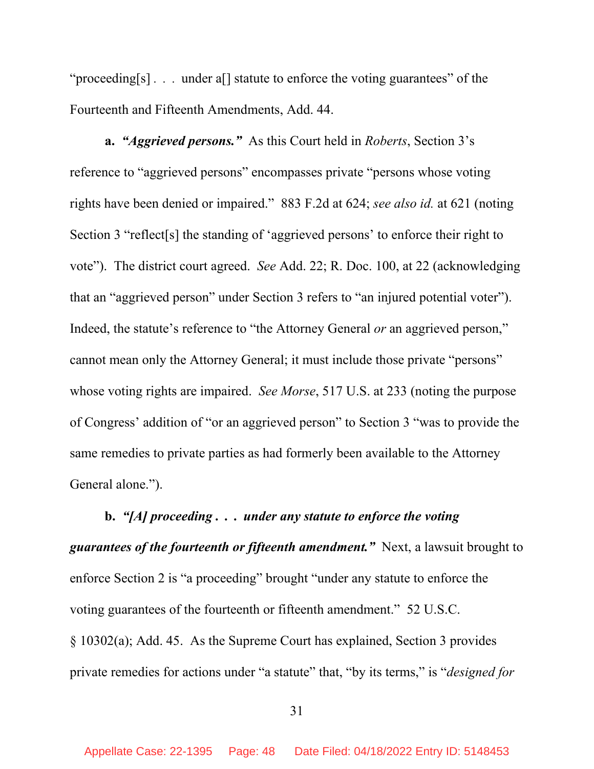"proceeding[s]  $\ldots$  under a<sup>[]</sup> statute to enforce the voting guarantees" of the Fourteenth and Fifteenth Amendments, Add. 44.

**a.** *"Aggrieved persons."* As this Court held in *Roberts*, Section 3's reference to "aggrieved persons" encompasses private "persons whose voting rights have been denied or impaired." 883 F.2d at 624; *see also id.* at 621 (noting Section 3 "reflect[s] the standing of 'aggrieved persons' to enforce their right to vote"). The district court agreed. *See* Add. 22; R. Doc. 100, at 22 (acknowledging that an "aggrieved person" under Section 3 refers to "an injured potential voter"). Indeed, the statute's reference to "the Attorney General *or* an aggrieved person," cannot mean only the Attorney General; it must include those private "persons" whose voting rights are impaired. *See Morse*, 517 U.S. at 233 (noting the purpose of Congress' addition of "or an aggrieved person" to Section 3 "was to provide the same remedies to private parties as had formerly been available to the Attorney General alone.").

# **b.** *"[A] proceeding ... under any statute to enforce the voting guarantees of the fourteenth or fifteenth amendment."* Next, a lawsuit brought to enforce Section 2 is "a proceeding" brought "under any statute to enforce the voting guarantees of the fourteenth or fifteenth amendment." 52 U.S.C. § 10302(a); Add. 45. As the Supreme Court has explained, Section 3 provides private remedies for actions under "a statute" that, "by its terms," is "*designed for*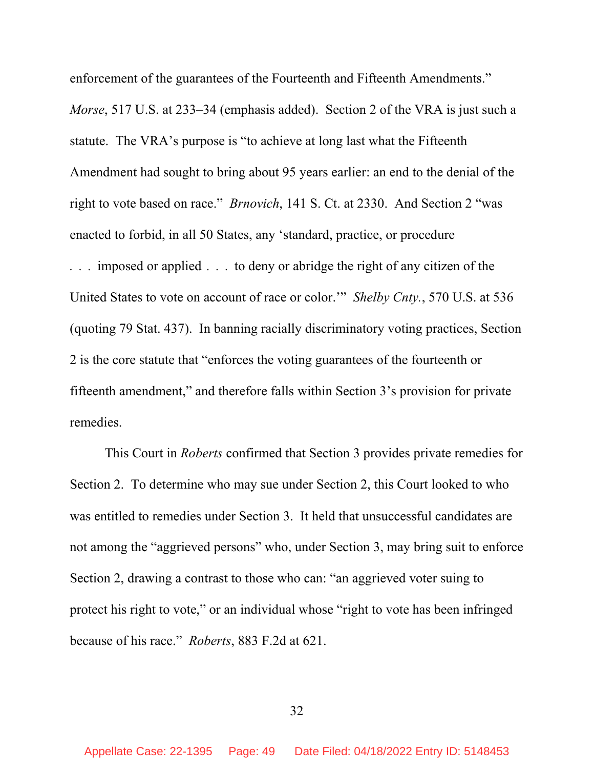enforcement of the guarantees of the Fourteenth and Fifteenth Amendments." *Morse*, 517 U.S. at 233–34 (emphasis added). Section 2 of the VRA is just such a statute. The VRA's purpose is "to achieve at long last what the Fifteenth Amendment had sought to bring about 95 years earlier: an end to the denial of the right to vote based on race." *Brnovich*, 141 S. Ct. at 2330. And Section 2 "was enacted to forbid, in all 50 States, any 'standard, practice, or procedure *...* imposed or applied *...* to deny or abridge the right of any citizen of the United States to vote on account of race or color.'" *Shelby Cnty.*, 570 U.S. at 536 (quoting 79 Stat. 437). In banning racially discriminatory voting practices, Section 2 is the core statute that "enforces the voting guarantees of the fourteenth or fifteenth amendment," and therefore falls within Section 3's provision for private remedies.

This Court in *Roberts* confirmed that Section 3 provides private remedies for Section 2. To determine who may sue under Section 2, this Court looked to who was entitled to remedies under Section 3. It held that unsuccessful candidates are not among the "aggrieved persons" who, under Section 3, may bring suit to enforce Section 2, drawing a contrast to those who can: "an aggrieved voter suing to protect his right to vote," or an individual whose "right to vote has been infringed because of his race." *Roberts*, 883 F.2d at 621.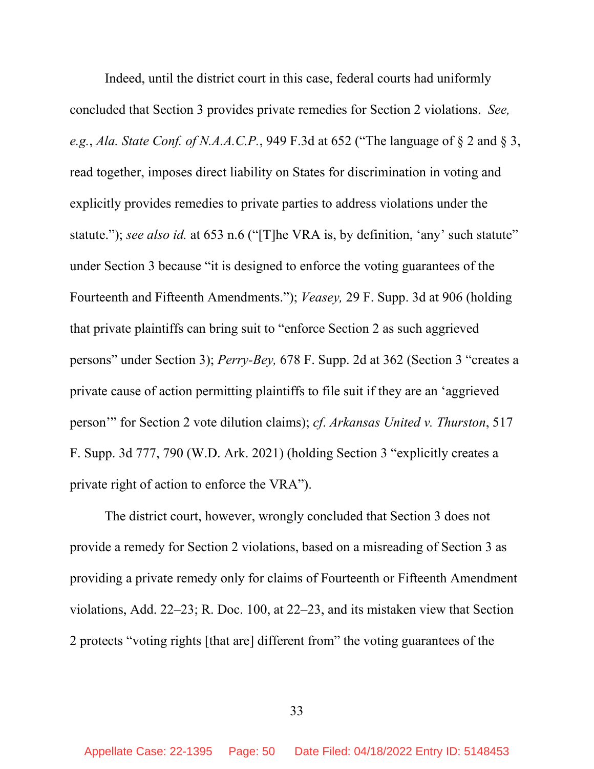Indeed, until the district court in this case, federal courts had uniformly concluded that Section 3 provides private remedies for Section 2 violations. *See, e.g.*, *Ala. State Conf. of N.A.A.C.P.*, 949 F.3d at 652 ("The language of § 2 and § 3, read together, imposes direct liability on States for discrimination in voting and explicitly provides remedies to private parties to address violations under the statute."); *see also id.* at 653 n.6 ("T]he VRA is, by definition, 'any' such statute" under Section 3 because "it is designed to enforce the voting guarantees of the Fourteenth and Fifteenth Amendments."); *Veasey,* 29 F. Supp. 3d at 906 (holding that private plaintiffs can bring suit to "enforce Section 2 as such aggrieved persons" under Section 3); *Perry-Bey,* 678 F. Supp. 2d at 362 (Section 3 "creates a private cause of action permitting plaintiffs to file suit if they are an 'aggrieved person'" for Section 2 vote dilution claims); *cf*. *Arkansas United v. Thurston*, 517 F. Supp. 3d 777, 790 (W.D. Ark. 2021) (holding Section 3 "explicitly creates a private right of action to enforce the VRA").

The district court, however, wrongly concluded that Section 3 does not provide a remedy for Section 2 violations, based on a misreading of Section 3 as providing a private remedy only for claims of Fourteenth or Fifteenth Amendment violations, Add. 22–23; R. Doc. 100, at 22–23, and its mistaken view that Section 2 protects "voting rights [that are] different from" the voting guarantees of the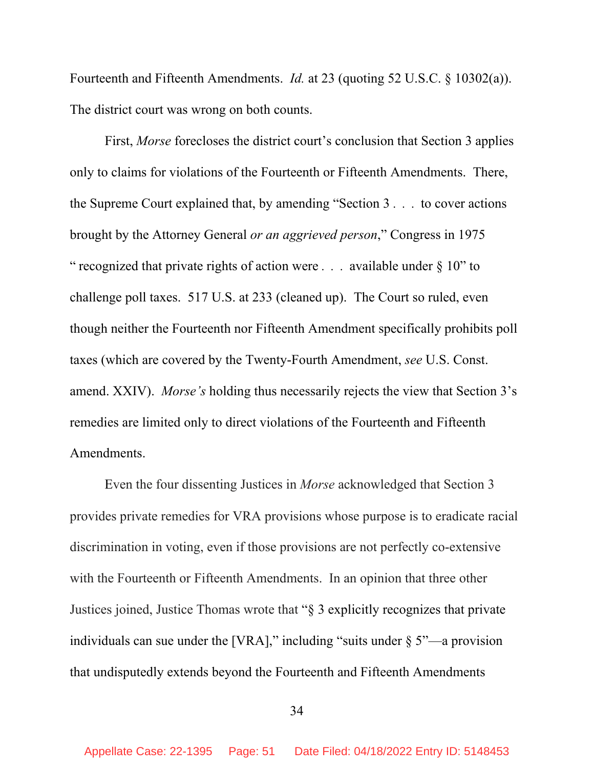Fourteenth and Fifteenth Amendments. *Id.* at 23 (quoting 52 U.S.C. § 10302(a)). The district court was wrong on both counts.

First, *Morse* forecloses the district court's conclusion that Section 3 applies only to claims for violations of the Fourteenth or Fifteenth Amendments. There, the Supreme Court explained that, by amending "Section 3 *...* to cover actions brought by the Attorney General *or an aggrieved person*," Congress in 1975 " recognized that private rights of action were *...* available under § 10" to challenge poll taxes. 517 U.S. at 233 (cleaned up). The Court so ruled, even though neither the Fourteenth nor Fifteenth Amendment specifically prohibits poll taxes (which are covered by the Twenty-Fourth Amendment, *see* U.S. Const. amend. XXIV). *Morse's* holding thus necessarily rejects the view that Section 3's remedies are limited only to direct violations of the Fourteenth and Fifteenth Amendments.

Even the four dissenting Justices in *Morse* acknowledged that Section 3 provides private remedies for VRA provisions whose purpose is to eradicate racial discrimination in voting, even if those provisions are not perfectly co-extensive with the Fourteenth or Fifteenth Amendments. In an opinion that three other Justices joined, Justice Thomas wrote that "§ 3 explicitly recognizes that private individuals can sue under the [VRA]," including "suits under  $\S 5$ "—a provision that undisputedly extends beyond the Fourteenth and Fifteenth Amendments

34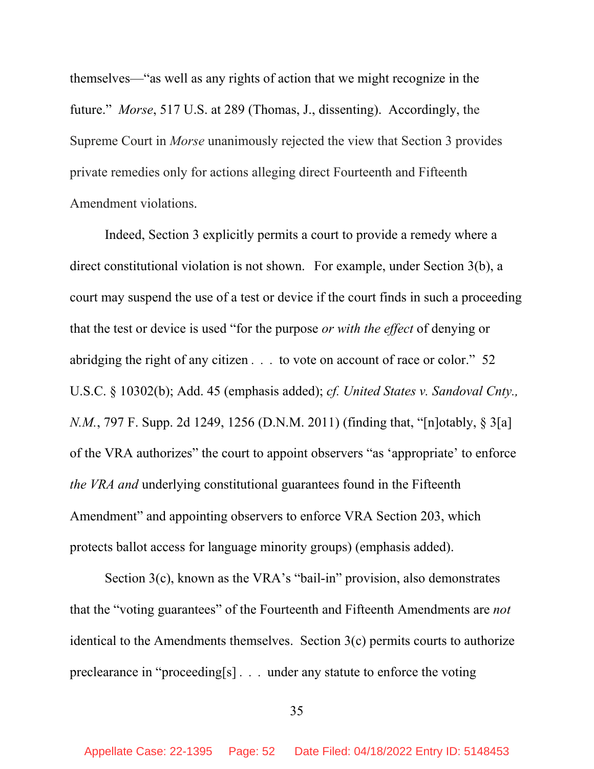themselves—"as well as any rights of action that we might recognize in the future." *Morse*, 517 U.S. at 289 (Thomas, J., dissenting). Accordingly, the Supreme Court in *Morse* unanimously rejected the view that Section 3 provides private remedies only for actions alleging direct Fourteenth and Fifteenth Amendment violations.

Indeed, Section 3 explicitly permits a court to provide a remedy where a direct constitutional violation is not shown. For example, under Section 3(b), a court may suspend the use of a test or device if the court finds in such a proceeding that the test or device is used "for the purpose *or with the effect* of denying or abridging the right of any citizen *...* to vote on account of race or color." 52 U.S.C. § 10302(b); Add. 45 (emphasis added); *cf. United States v. Sandoval Cnty., N.M.*, 797 F. Supp. 2d 1249, 1256 (D.N.M. 2011) (finding that, "[n]otably, § 3[a] of the VRA authorizes" the court to appoint observers "as 'appropriate' to enforce *the VRA and* underlying constitutional guarantees found in the Fifteenth Amendment" and appointing observers to enforce VRA Section 203, which protects ballot access for language minority groups) (emphasis added).

Section 3(c), known as the VRA's "bail-in" provision, also demonstrates that the "voting guarantees" of the Fourteenth and Fifteenth Amendments are *not*  identical to the Amendments themselves. Section 3(c) permits courts to authorize preclearance in "proceeding[s] *...* under any statute to enforce the voting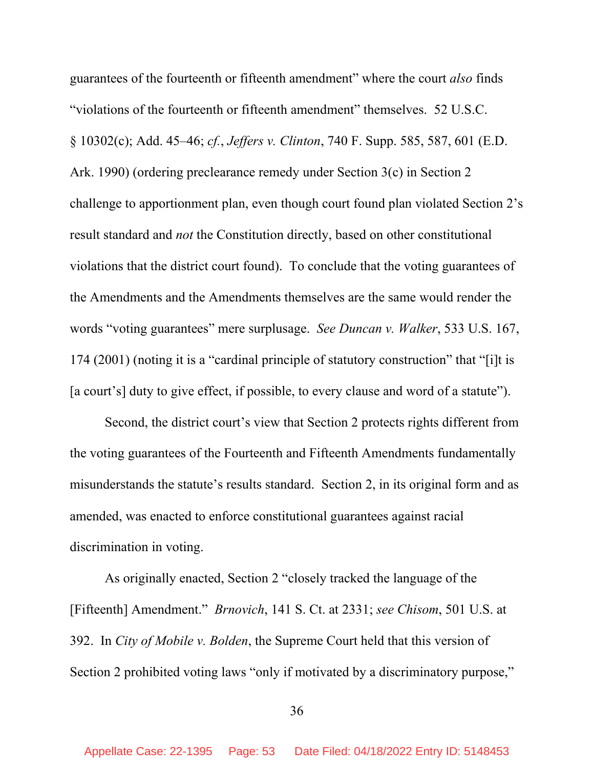guarantees of the fourteenth or fifteenth amendment" where the court *also* finds "violations of the fourteenth or fifteenth amendment" themselves. 52 U.S.C. § 10302(c); Add. 45–46; *cf.*, *Jeffers v. Clinton*, 740 F. Supp. 585, 587, 601 (E.D. Ark. 1990) (ordering preclearance remedy under Section 3(c) in Section 2 challenge to apportionment plan, even though court found plan violated Section 2's result standard and *not* the Constitution directly, based on other constitutional violations that the district court found). To conclude that the voting guarantees of the Amendments and the Amendments themselves are the same would render the words "voting guarantees" mere surplusage. *See Duncan v. Walker*, 533 U.S. 167, 174 (2001) (noting it is a "cardinal principle of statutory construction" that "[i]t is [a court's] duty to give effect, if possible, to every clause and word of a statute").

Second, the district court's view that Section 2 protects rights different from the voting guarantees of the Fourteenth and Fifteenth Amendments fundamentally misunderstands the statute's results standard. Section 2, in its original form and as amended, was enacted to enforce constitutional guarantees against racial discrimination in voting.

As originally enacted, Section 2 "closely tracked the language of the [Fifteenth] Amendment." *Brnovich*, 141 S. Ct. at 2331; *see Chisom*, 501 U.S. at 392.In *City of Mobile v. Bolden*, the Supreme Court held that this version of Section 2 prohibited voting laws "only if motivated by a discriminatory purpose,"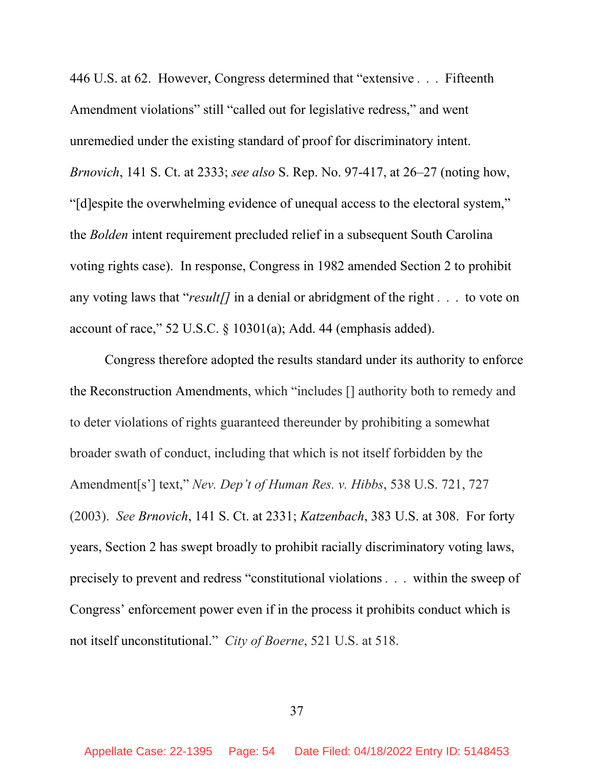446 U.S. at 62.However, Congress determined that "extensive *...* Fifteenth Amendment violations" still "called out for legislative redress," and went unremedied under the existing standard of proof for discriminatory intent. *Brnovich*, 141 S. Ct. at 2333; *see also* S. Rep. No. 97-417, at 26–27 (noting how, "[d]espite the overwhelming evidence of unequal access to the electoral system," the *Bolden* intent requirement precluded relief in a subsequent South Carolina voting rights case). In response, Congress in 1982 amended Section 2 to prohibit any voting laws that "*result[]* in a denial or abridgment of the right *...* to vote on account of race," 52 U.S.C. § 10301(a); Add. 44 (emphasis added).

Congress therefore adopted the results standard under its authority to enforce the Reconstruction Amendments, which "includes [] authority both to remedy and to deter violations of rights guaranteed thereunder by prohibiting a somewhat broader swath of conduct, including that which is not itself forbidden by the Amendment[s'] text," *Nev. Dep't of Human Res. v. Hibbs*, 538 U.S. 721, 727 (2003). *See Brnovich*, 141 S. Ct. at 2331; *Katzenbach*, 383 U.S. at 308. For forty years, Section 2 has swept broadly to prohibit racially discriminatory voting laws, precisely to prevent and redress "constitutional violations *...* within the sweep of Congress' enforcement power even if in the process it prohibits conduct which is not itself unconstitutional." *City of Boerne*, 521 U.S. at 518.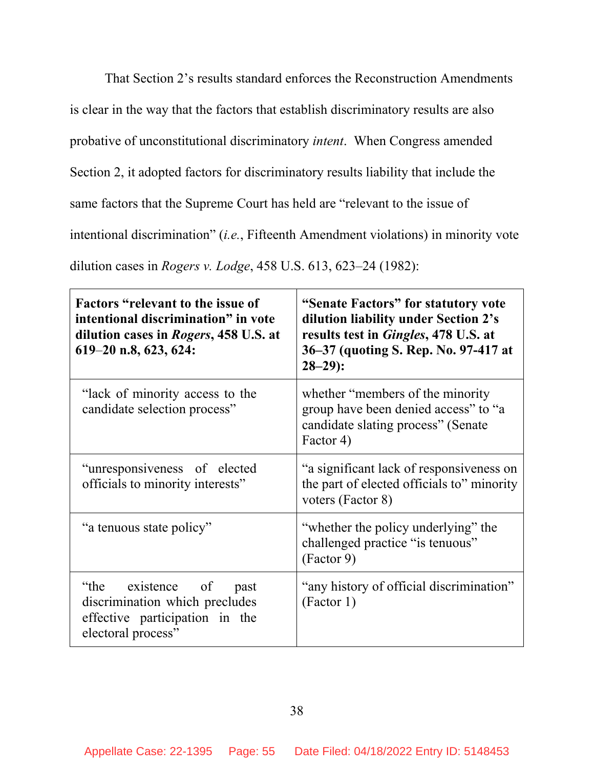That Section 2's results standard enforces the Reconstruction Amendments is clear in the way that the factors that establish discriminatory results are also probative of unconstitutional discriminatory *intent*. When Congress amended Section 2, it adopted factors for discriminatory results liability that include the same factors that the Supreme Court has held are "relevant to the issue of intentional discrimination" (*i.e.*, Fifteenth Amendment violations) in minority vote dilution cases in *Rogers v. Lodge*, 458 U.S. 613, 623–24 (1982):

| <b>Factors "relevant to the issue of</b><br>intentional discrimination" in vote<br>dilution cases in <i>Rogers</i> , 458 U.S. at<br>$619-20$ n.8, 623, 624: | "Senate Factors" for statutory vote<br>dilution liability under Section 2's<br>results test in <i>Gingles</i> , 478 U.S. at<br>36–37 (quoting S. Rep. No. 97-417 at<br>$28 - 29$ : |
|-------------------------------------------------------------------------------------------------------------------------------------------------------------|------------------------------------------------------------------------------------------------------------------------------------------------------------------------------------|
| "lack of minority access to the<br>candidate selection process"                                                                                             | whether "members of the minority"<br>group have been denied access" to "a<br>candidate slating process" (Senate<br>Factor 4)                                                       |
| "unresponsiveness of elected"<br>officials to minority interests"                                                                                           | "a significant lack of responsiveness on<br>the part of elected officials to" minority<br>voters (Factor 8)                                                                        |
| "a tenuous state policy"                                                                                                                                    | "whether the policy underlying" the<br>challenged practice "is tenuous"<br>(Factor 9)                                                                                              |
| "the existence of<br>past<br>discrimination which precludes<br>effective participation in the<br>electoral process"                                         | "any history of official discrimination"<br>(Factor 1)                                                                                                                             |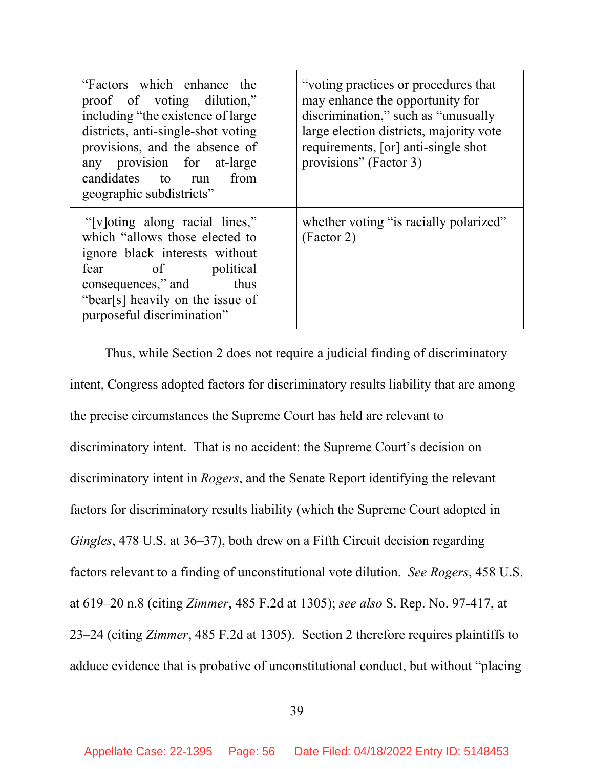| "Factors which enhance the<br>proof of voting dilution,"<br>including "the existence of large"<br>districts, anti-single-shot voting<br>provisions, and the absence of<br>any provision for at-large<br>candidates to run<br>from<br>geographic subdistricts" | "voting practices or procedures that"<br>may enhance the opportunity for<br>discrimination," such as "unusually<br>large election districts, majority vote<br>requirements, [or] anti-single shot<br>provisions" (Factor 3) |
|---------------------------------------------------------------------------------------------------------------------------------------------------------------------------------------------------------------------------------------------------------------|-----------------------------------------------------------------------------------------------------------------------------------------------------------------------------------------------------------------------------|
| "[v]oting along racial lines,"<br>which "allows those elected to<br>ignore black interests without<br>fear of political<br>consequences," and<br>thus<br>"bear[s] heavily on the issue of<br>purposeful discrimination"                                       | whether voting "is racially polarized"<br>(Factor 2)                                                                                                                                                                        |

Thus, while Section 2 does not require a judicial finding of discriminatory intent, Congress adopted factors for discriminatory results liability that are among the precise circumstances the Supreme Court has held are relevant to discriminatory intent. That is no accident: the Supreme Court's decision on discriminatory intent in *Rogers*, and the Senate Report identifying the relevant factors for discriminatory results liability (which the Supreme Court adopted in *Gingles*, 478 U.S. at 36–37), both drew on a Fifth Circuit decision regarding factors relevant to a finding of unconstitutional vote dilution. *See Rogers*, 458 U.S. at 619–20 n.8 (citing *Zimmer*, 485 F.2d at 1305); *see also* S. Rep. No. 97-417, at 23–24 (citing *Zimmer*, 485 F.2d at 1305). Section 2 therefore requires plaintiffs to adduce evidence that is probative of unconstitutional conduct, but without "placing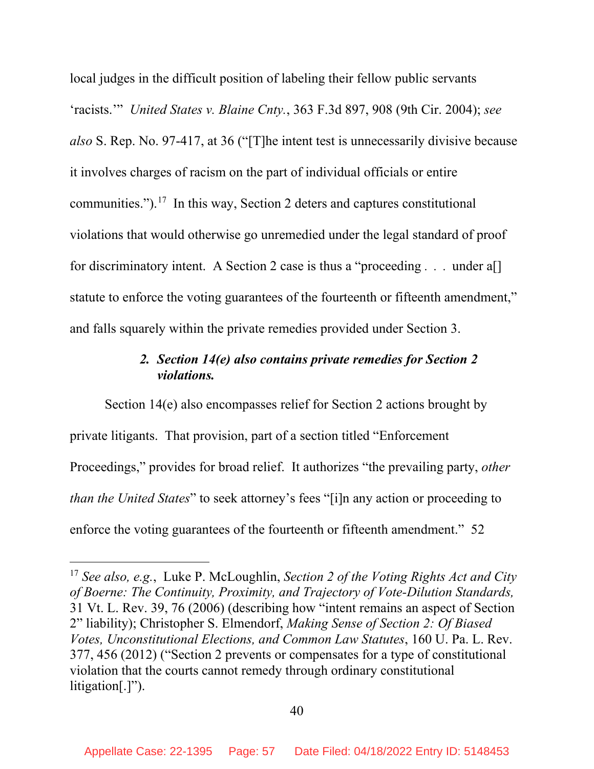local judges in the difficult position of labeling their fellow public servants 'racists.'" *United States v. Blaine Cnty.*, 363 F.3d 897, 908 (9th Cir. 2004); *see also* S. Rep. No. 97-417, at 36 ("[T]he intent test is unnecessarily divisive because it involves charges of racism on the part of individual officials or entire communities.").<sup>17</sup> In this way, Section 2 deters and captures constitutional violations that would otherwise go unremedied under the legal standard of proof for discriminatory intent. A Section 2 case is thus a "proceeding *...* under a[] statute to enforce the voting guarantees of the fourteenth or fifteenth amendment," and falls squarely within the private remedies provided under Section 3.

## *2. Section 14(e) also contains private remedies for Section 2 violations.*

Section 14(e) also encompasses relief for Section 2 actions brought by private litigants. That provision, part of a section titled "Enforcement Proceedings," provides for broad relief. It authorizes "the prevailing party, *other than the United States*" to seek attorney's fees "[i]n any action or proceeding to enforce the voting guarantees of the fourteenth or fifteenth amendment." 52

<span id="page-56-0"></span> <sup>17</sup> *See also, e.g.*, Luke P. McLoughlin, *Section 2 of the Voting Rights Act and City of Boerne: The Continuity, Proximity, and Trajectory of Vote-Dilution Standards,* 31 Vt. L. Rev. 39, 76 (2006) (describing how "intent remains an aspect of Section 2" liability); Christopher S. Elmendorf, *Making Sense of Section 2: Of Biased Votes, Unconstitutional Elections, and Common Law Statutes*, 160 U. Pa. L. Rev. 377, 456 (2012) ("Section 2 prevents or compensates for a type of constitutional violation that the courts cannot remedy through ordinary constitutional litigation[.]").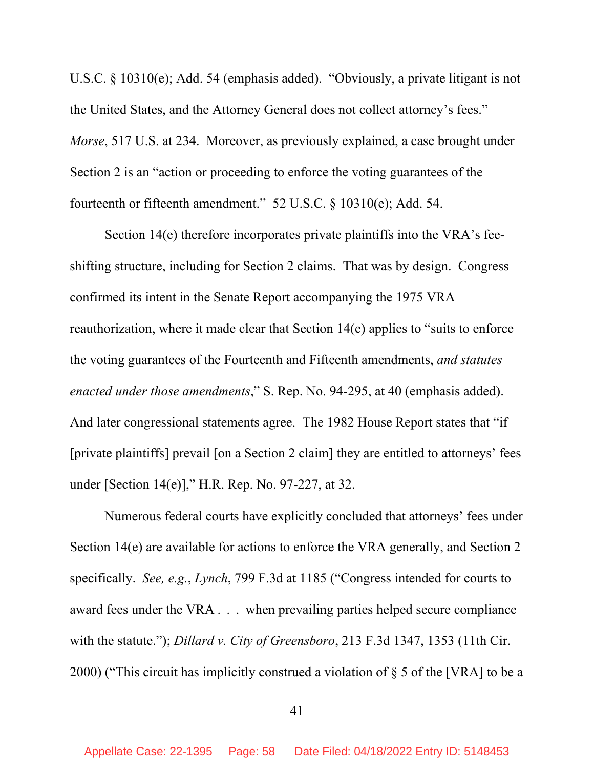U.S.C. § 10310(e); Add. 54 (emphasis added). "Obviously, a private litigant is not the United States, and the Attorney General does not collect attorney's fees." *Morse*, 517 U.S. at 234. Moreover, as previously explained, a case brought under Section 2 is an "action or proceeding to enforce the voting guarantees of the fourteenth or fifteenth amendment." 52 U.S.C. § 10310(e); Add. 54.

Section 14(e) therefore incorporates private plaintiffs into the VRA's feeshifting structure, including for Section 2 claims. That was by design. Congress confirmed its intent in the Senate Report accompanying the 1975 VRA reauthorization, where it made clear that Section 14(e) applies to "suits to enforce the voting guarantees of the Fourteenth and Fifteenth amendments, *and statutes enacted under those amendments*," S. Rep. No. 94-295, at 40 (emphasis added). And later congressional statements agree. The 1982 House Report states that "if [private plaintiffs] prevail [on a Section 2 claim] they are entitled to attorneys' fees under [Section 14(e)]," H.R. Rep. No. 97-227, at 32.

Numerous federal courts have explicitly concluded that attorneys' fees under Section 14(e) are available for actions to enforce the VRA generally, and Section 2 specifically. *See, e.g.*, *Lynch*, 799 F.3d at 1185 ("Congress intended for courts to award fees under the VRA *...* when prevailing parties helped secure compliance with the statute."); *Dillard v. City of Greensboro*, 213 F.3d 1347, 1353 (11th Cir. 2000) ("This circuit has implicitly construed a violation of § 5 of the [VRA] to be a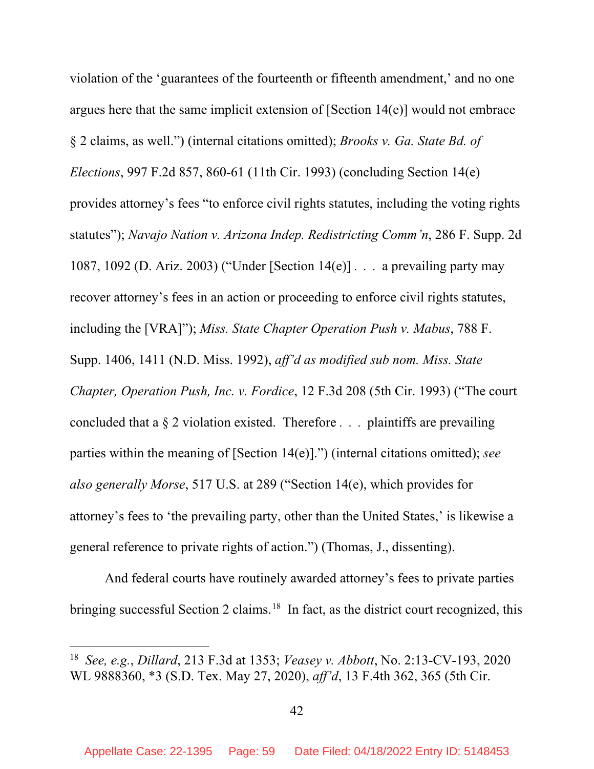violation of the 'guarantees of the fourteenth or fifteenth amendment,' and no one argues here that the same implicit extension of [Section 14(e)] would not embrace § 2 claims, as well.") (internal citations omitted); *Brooks v. Ga. State Bd. of Elections*, 997 F.2d 857, 860-61 (11th Cir. 1993) (concluding Section 14(e) provides attorney's fees "to enforce civil rights statutes, including the voting rights statutes"); *Navajo Nation v. Arizona Indep. Redistricting Comm'n*, 286 F. Supp. 2d 1087, 1092 (D. Ariz. 2003) ("Under [Section 14(e)] *...* a prevailing party may recover attorney's fees in an action or proceeding to enforce civil rights statutes, including the [VRA]"); *Miss. State Chapter Operation Push v. Mabus*, 788 F. Supp. 1406, 1411 (N.D. Miss. 1992), *aff'd as modified sub nom. Miss. State Chapter, Operation Push, Inc. v. Fordice*, 12 F.3d 208 (5th Cir. 1993) ("The court concluded that a § 2 violation existed. Therefore *...* plaintiffs are prevailing parties within the meaning of [Section 14(e)].") (internal citations omitted); *see also generally Morse*, 517 U.S. at 289 ("Section 14(e), which provides for attorney's fees to 'the prevailing party, other than the United States,' is likewise a general reference to private rights of action.") (Thomas, J., dissenting).

And federal courts have routinely awarded attorney's fees to private parties bringing successful Section 2 claims.<sup>18</sup> In fact, as the district court recognized, this

<span id="page-58-0"></span> <sup>18</sup> *See, e.g.*, *Dillard*, 213 F.3d at 1353; *Veasey v. Abbott*, No. 2:13-CV-193, 2020 WL 9888360, \*3 (S.D. Tex. May 27, 2020), *aff'd*, 13 F.4th 362, 365 (5th Cir.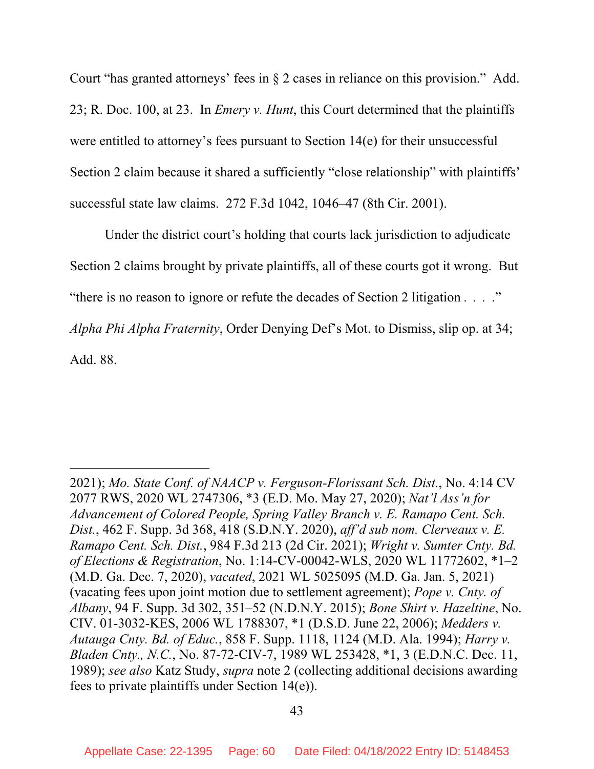Court "has granted attorneys' fees in § 2 cases in reliance on this provision." Add. 23; R. Doc. 100, at 23. In *Emery v. Hunt*, this Court determined that the plaintiffs were entitled to attorney's fees pursuant to Section 14(e) for their unsuccessful Section 2 claim because it shared a sufficiently "close relationship" with plaintiffs' successful state law claims. 272 F.3d 1042, 1046–47 (8th Cir. 2001).

Under the district court's holding that courts lack jurisdiction to adjudicate Section 2 claims brought by private plaintiffs, all of these courts got it wrong. But "there is no reason to ignore or refute the decades of Section 2 litigation *...* ." *Alpha Phi Alpha Fraternity*, Order Denying Def's Mot. to Dismiss, slip op. at 34; Add. 88.

 $\overline{a}$ 

<sup>2021);</sup> *Mo. State Conf. of NAACP v. Ferguson-Florissant Sch. Dist.*, No. 4:14 CV 2077 RWS, 2020 WL 2747306, \*3 (E.D. Mo. May 27, 2020); *Nat'l Ass'n for Advancement of Colored People, Spring Valley Branch v. E. Ramapo Cent. Sch. Dist.*, 462 F. Supp. 3d 368, 418 (S.D.N.Y. 2020), *aff'd sub nom. Clerveaux v. E. Ramapo Cent. Sch. Dist.*, 984 F.3d 213 (2d Cir. 2021); *Wright v. Sumter Cnty. Bd. of Elections & Registration*, No. 1:14‐CV‐00042-WLS, 2020 WL 11772602, \*1–2 (M.D. Ga. Dec. 7, 2020), *vacated*, 2021 WL 5025095 (M.D. Ga. Jan. 5, 2021) (vacating fees upon joint motion due to settlement agreement); *Pope v. Cnty. of Albany*, 94 F. Supp. 3d 302, 351–52 (N.D.N.Y. 2015); *Bone Shirt v. Hazeltine*, No. CIV. 01-3032-KES, 2006 WL 1788307, \*1 (D.S.D. June 22, 2006); *Medders v. Autauga Cnty. Bd. of Educ.*, 858 F. Supp. 1118, 1124 (M.D. Ala. 1994); *Harry v. Bladen Cnty., N.C.*, No. 87-72-CIV-7, 1989 WL 253428, \*1, 3 (E.D.N.C. Dec. 11, 1989); *see also* Katz Study, *supra* note 2 (collecting additional decisions awarding fees to private plaintiffs under Section 14(e)).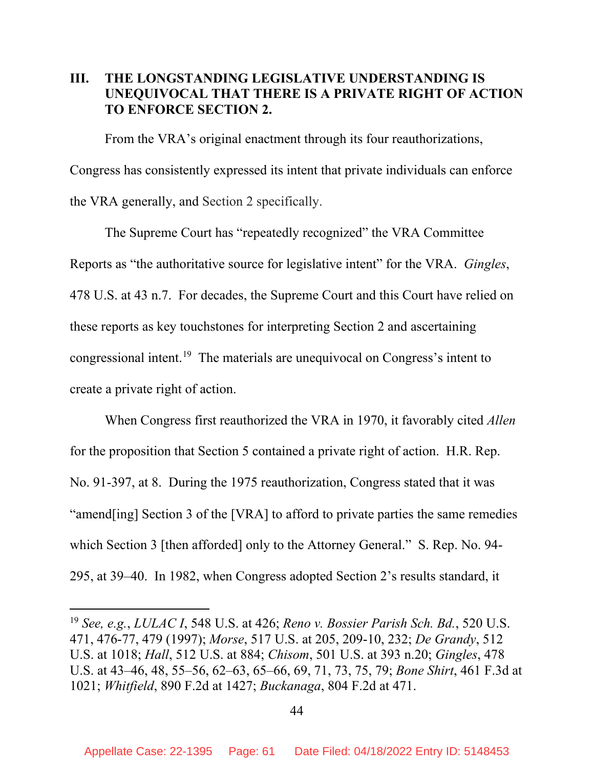## **III. THE LONGSTANDING LEGISLATIVE UNDERSTANDING IS UNEQUIVOCAL THAT THERE IS A PRIVATE RIGHT OF ACTION TO ENFORCE SECTION 2.**

From the VRA's original enactment through its four reauthorizations, Congress has consistently expressed its intent that private individuals can enforce the VRA generally, and Section 2 specifically.

The Supreme Court has "repeatedly recognized" the VRA Committee Reports as "the authoritative source for legislative intent" for the VRA. *Gingles*, 478 U.S. at 43 n.7. For decades, the Supreme Court and this Court have relied on these reports as key touchstones for interpreting Section 2 and ascertaining congressional intent.[19](#page-60-0) The materials are unequivocal on Congress's intent to create a private right of action.

When Congress first reauthorized the VRA in 1970, it favorably cited *Allen* for the proposition that Section 5 contained a private right of action. H.R. Rep. No. 91-397, at 8. During the 1975 reauthorization, Congress stated that it was "amend[ing] Section 3 of the [VRA] to afford to private parties the same remedies which Section 3 [then afforded] only to the Attorney General." S. Rep. No. 94- 295, at 39–40. In 1982, when Congress adopted Section 2's results standard, it

<span id="page-60-0"></span> <sup>19</sup> *See, e.g.*, *LULAC <sup>I</sup>*, 548 U.S. at 426; *Reno v. Bossier Parish Sch. Bd.*, 520 U.S. 471, 476-77, 479 (1997); *Morse*, 517 U.S. at 205, 209-10, 232; *De Grandy*, 512 U.S. at 1018; *Hall*, 512 U.S. at 884; *Chisom*, 501 U.S. at 393 n.20; *Gingles*, 478 U.S. at 43–46, 48, 55–56, 62–63, 65–66, 69, 71, 73, 75, 79; *Bone Shirt*, 461 F.3d at 1021; *Whitfield*, 890 F.2d at 1427; *Buckanaga*, 804 F.2d at 471.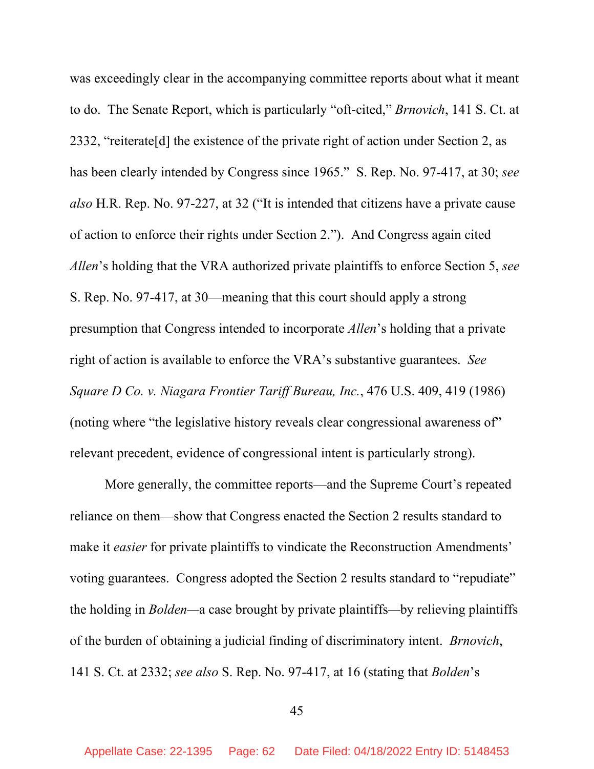was exceedingly clear in the accompanying committee reports about what it meant to do. The Senate Report, which is particularly "oft-cited," *Brnovich*, 141 S. Ct. at 2332, "reiterate[d] the existence of the private right of action under Section 2, as has been clearly intended by Congress since 1965." S. Rep. No. 97-417, at 30; *see also* H.R. Rep. No. 97-227, at 32 ("It is intended that citizens have a private cause of action to enforce their rights under Section 2."). And Congress again cited *Allen*'s holding that the VRA authorized private plaintiffs to enforce Section 5, *see* S. Rep. No. 97-417, at 30—meaning that this court should apply a strong presumption that Congress intended to incorporate *Allen*'s holding that a private right of action is available to enforce the VRA's substantive guarantees. *See Square D Co. v. Niagara Frontier Tariff Bureau, Inc.*, 476 U.S. 409, 419 (1986) (noting where "the legislative history reveals clear congressional awareness of" relevant precedent, evidence of congressional intent is particularly strong).

More generally, the committee reports—and the Supreme Court's repeated reliance on them—show that Congress enacted the Section 2 results standard to make it *easier* for private plaintiffs to vindicate the Reconstruction Amendments' voting guarantees. Congress adopted the Section 2 results standard to "repudiate" the holding in *Bolden—*a case brought by private plaintiffs*—*by relieving plaintiffs of the burden of obtaining a judicial finding of discriminatory intent. *Brnovich*, 141 S. Ct. at 2332; *see also* S. Rep. No. 97-417, at 16 (stating that *Bolden*'s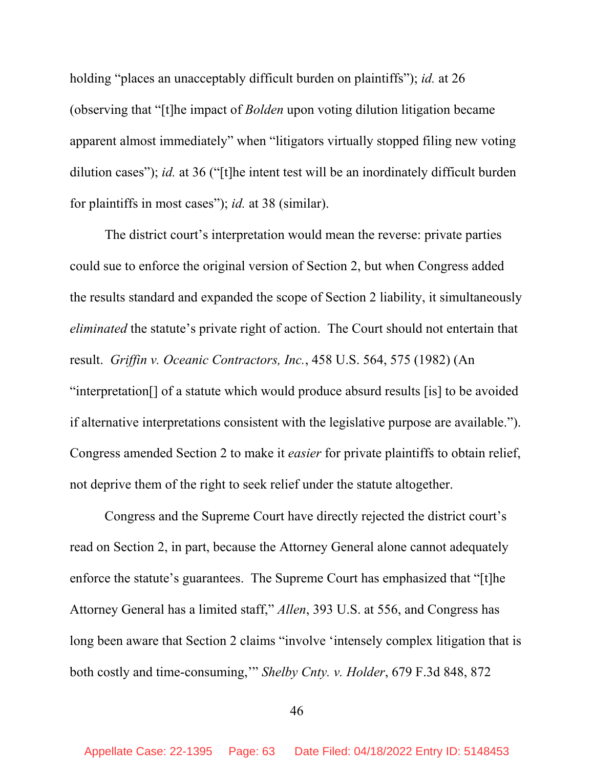holding "places an unacceptably difficult burden on plaintiffs"); *id.* at 26 (observing that "[t]he impact of *Bolden* upon voting dilution litigation became apparent almost immediately" when "litigators virtually stopped filing new voting dilution cases"); *id.* at 36 ("[t]he intent test will be an inordinately difficult burden for plaintiffs in most cases"); *id.* at 38 (similar).

The district court's interpretation would mean the reverse: private parties could sue to enforce the original version of Section 2, but when Congress added the results standard and expanded the scope of Section 2 liability, it simultaneously *eliminated* the statute's private right of action. The Court should not entertain that result. *Griffin v. Oceanic Contractors, Inc.*, 458 U.S. 564, 575 (1982) (An "interpretation[] of a statute which would produce absurd results [is] to be avoided if alternative interpretations consistent with the legislative purpose are available."). Congress amended Section 2 to make it *easier* for private plaintiffs to obtain relief, not deprive them of the right to seek relief under the statute altogether.

Congress and the Supreme Court have directly rejected the district court's read on Section 2, in part, because the Attorney General alone cannot adequately enforce the statute's guarantees. The Supreme Court has emphasized that "[t]he Attorney General has a limited staff," *Allen*, 393 U.S. at 556, and Congress has long been aware that Section 2 claims "involve 'intensely complex litigation that is both costly and time-consuming,'" *Shelby Cnty. v. Holder*, 679 F.3d 848, 872

#### 46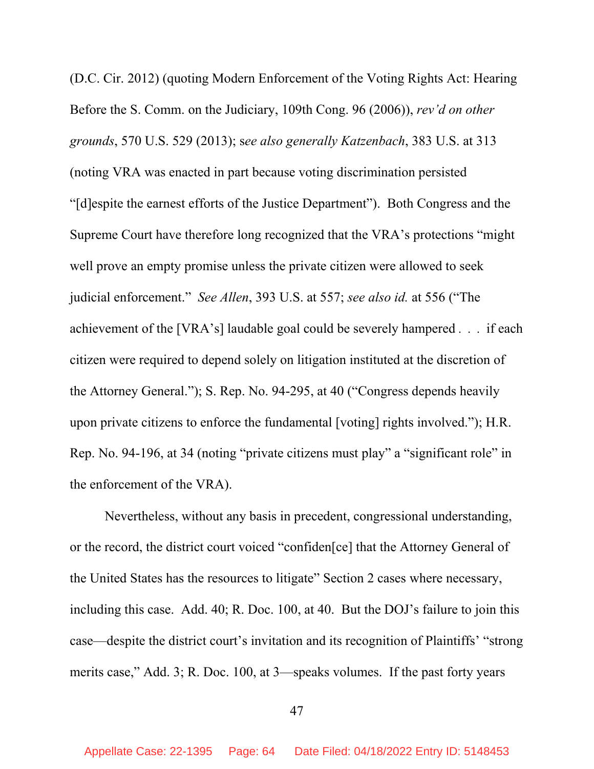(D.C. Cir. 2012) (quoting Modern Enforcement of the Voting Rights Act: Hearing Before the S. Comm. on the Judiciary, 109th Cong. 96 (2006)), *rev'd on other grounds*, 570 U.S. 529 (2013); s*ee also generally Katzenbach*, 383 U.S. at 313 (noting VRA was enacted in part because voting discrimination persisted "[d]espite the earnest efforts of the Justice Department"). Both Congress and the Supreme Court have therefore long recognized that the VRA's protections "might well prove an empty promise unless the private citizen were allowed to seek judicial enforcement." *See Allen*, 393 U.S. at 557; *see also id.* at 556 ("The achievement of the [VRA's] laudable goal could be severely hampered *...* if each citizen were required to depend solely on litigation instituted at the discretion of the Attorney General."); S. Rep. No. 94-295, at 40 ("Congress depends heavily upon private citizens to enforce the fundamental [voting] rights involved."); H.R. Rep. No. 94-196, at 34 (noting "private citizens must play" a "significant role" in the enforcement of the VRA).

Nevertheless, without any basis in precedent, congressional understanding, or the record, the district court voiced "confiden[ce] that the Attorney General of the United States has the resources to litigate" Section 2 cases where necessary, including this case. Add. 40; R. Doc. 100, at 40. But the DOJ's failure to join this case—despite the district court's invitation and its recognition of Plaintiffs' "strong merits case," Add. 3; R. Doc. 100, at 3—speaks volumes. If the past forty years

47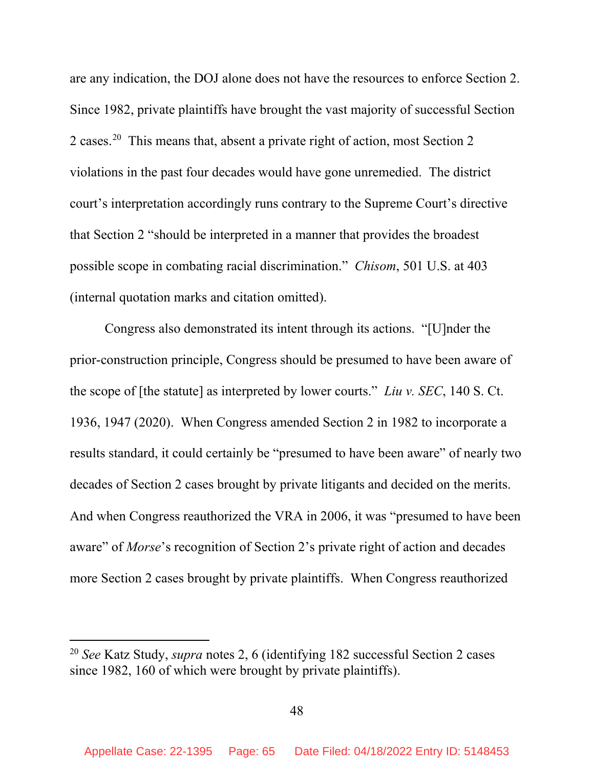are any indication, the DOJ alone does not have the resources to enforce Section 2. Since 1982, private plaintiffs have brought the vast majority of successful Section 2 cases.<sup>[20](#page-64-0)</sup> This means that, absent a private right of action, most Section 2 violations in the past four decades would have gone unremedied. The district court's interpretation accordingly runs contrary to the Supreme Court's directive that Section 2 "should be interpreted in a manner that provides the broadest possible scope in combating racial discrimination." *Chisom*, 501 U.S. at 403 (internal quotation marks and citation omitted).

Congress also demonstrated its intent through its actions. "[U]nder the prior-construction principle, Congress should be presumed to have been aware of the scope of [the statute] as interpreted by lower courts." *Liu v. SEC*, 140 S. Ct. 1936, 1947 (2020). When Congress amended Section 2 in 1982 to incorporate a results standard, it could certainly be "presumed to have been aware" of nearly two decades of Section 2 cases brought by private litigants and decided on the merits. And when Congress reauthorized the VRA in 2006, it was "presumed to have been aware" of *Morse*'s recognition of Section 2's private right of action and decades more Section 2 cases brought by private plaintiffs. When Congress reauthorized

<span id="page-64-0"></span> <sup>20</sup> *See* Katz Study, *supra* notes 2, 6 (identifying 182 successful Section 2 cases since 1982, 160 of which were brought by private plaintiffs).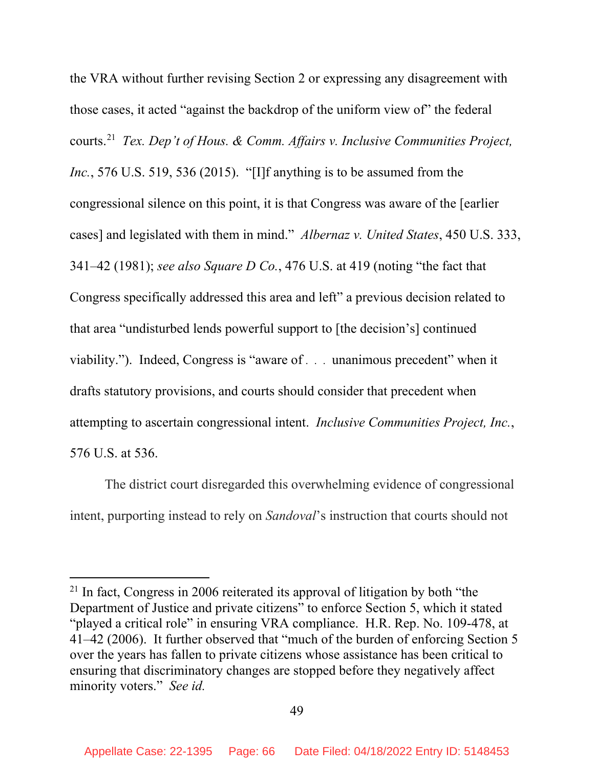the VRA without further revising Section 2 or expressing any disagreement with those cases, it acted "against the backdrop of the uniform view of" the federal courts.[21](#page-65-0) *Tex. Dep't of Hous. & Comm. Affairs v. Inclusive Communities Project, Inc.*, 576 U.S. 519, 536 (2015). "[I]f anything is to be assumed from the congressional silence on this point, it is that Congress was aware of the [earlier cases] and legislated with them in mind." *Albernaz v. United States*, 450 U.S. 333, 341–42 (1981); *see also Square D Co.*, 476 U.S. at 419 (noting "the fact that Congress specifically addressed this area and left" a previous decision related to that area "undisturbed lends powerful support to [the decision's] continued viability."). Indeed, Congress is "aware of *...* unanimous precedent" when it drafts statutory provisions, and courts should consider that precedent when attempting to ascertain congressional intent. *Inclusive Communities Project, Inc.*, 576 U.S. at 536.

The district court disregarded this overwhelming evidence of congressional intent, purporting instead to rely on *Sandoval*'s instruction that courts should not

<span id="page-65-0"></span> $21$  In fact, Congress in 2006 reiterated its approval of litigation by both "the Department of Justice and private citizens" to enforce Section 5, which it stated "played a critical role" in ensuring VRA compliance. H.R. Rep. No. 109-478, at 41–42 (2006). It further observed that "much of the burden of enforcing Section 5 over the years has fallen to private citizens whose assistance has been critical to ensuring that discriminatory changes are stopped before they negatively affect minority voters." *See id.*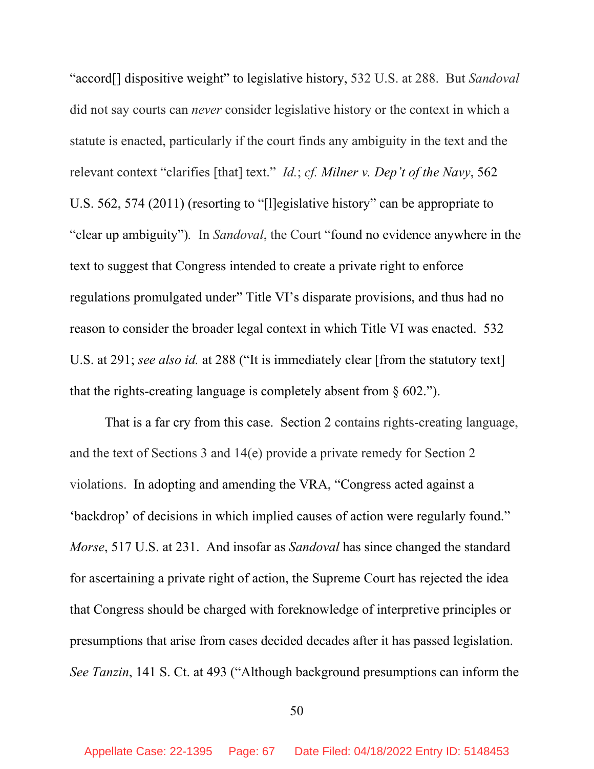"accord[] dispositive weight" to legislative history, 532 U.S. at 288. But *Sandoval*  did not say courts can *never* consider legislative history or the context in which a statute is enacted, particularly if the court finds any ambiguity in the text and the relevant context "clarifies [that] text." *Id.*; *cf. Milner v. Dep't of the Navy*, 562 U.S. 562, 574 (2011) (resorting to "[l]egislative history" can be appropriate to "clear up ambiguity")*.* In *Sandoval*, the Court "found no evidence anywhere in the text to suggest that Congress intended to create a private right to enforce regulations promulgated under" Title VI's disparate provisions, and thus had no reason to consider the broader legal context in which Title VI was enacted. 532 U.S. at 291; *see also id.* at 288 ("It is immediately clear [from the statutory text] that the rights-creating language is completely absent from § 602.").

That is a far cry from this case. Section 2 contains rights-creating language, and the text of Sections 3 and 14(e) provide a private remedy for Section 2 violations. In adopting and amending the VRA, "Congress acted against a 'backdrop' of decisions in which implied causes of action were regularly found." *Morse*, 517 U.S. at 231. And insofar as *Sandoval* has since changed the standard for ascertaining a private right of action, the Supreme Court has rejected the idea that Congress should be charged with foreknowledge of interpretive principles or presumptions that arise from cases decided decades after it has passed legislation. *See Tanzin*, 141 S. Ct. at 493 ("Although background presumptions can inform the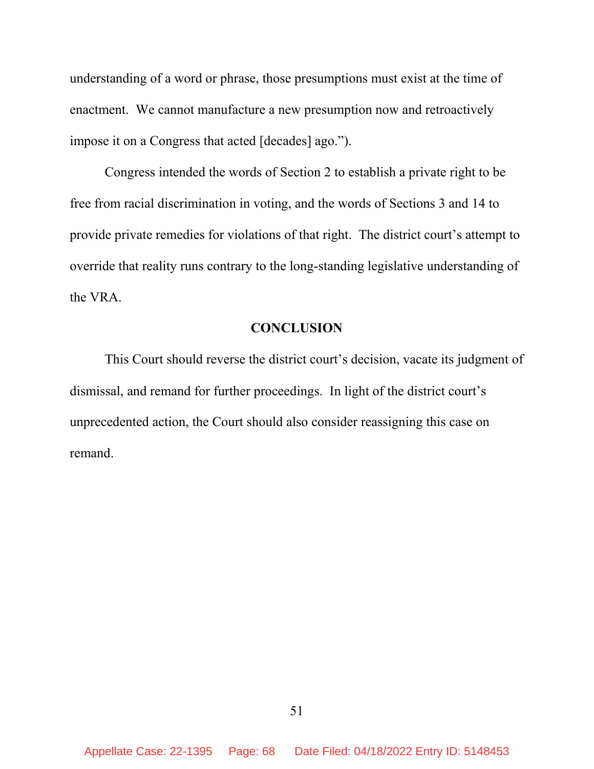understanding of a word or phrase, those presumptions must exist at the time of enactment. We cannot manufacture a new presumption now and retroactively impose it on a Congress that acted [decades] ago.").

Congress intended the words of Section 2 to establish a private right to be free from racial discrimination in voting, and the words of Sections 3 and 14 to provide private remedies for violations of that right. The district court's attempt to override that reality runs contrary to the long-standing legislative understanding of the VRA.

## **CONCLUSION**

This Court should reverse the district court's decision, vacate its judgment of dismissal, and remand for further proceedings. In light of the district court's unprecedented action, the Court should also consider reassigning this case on remand.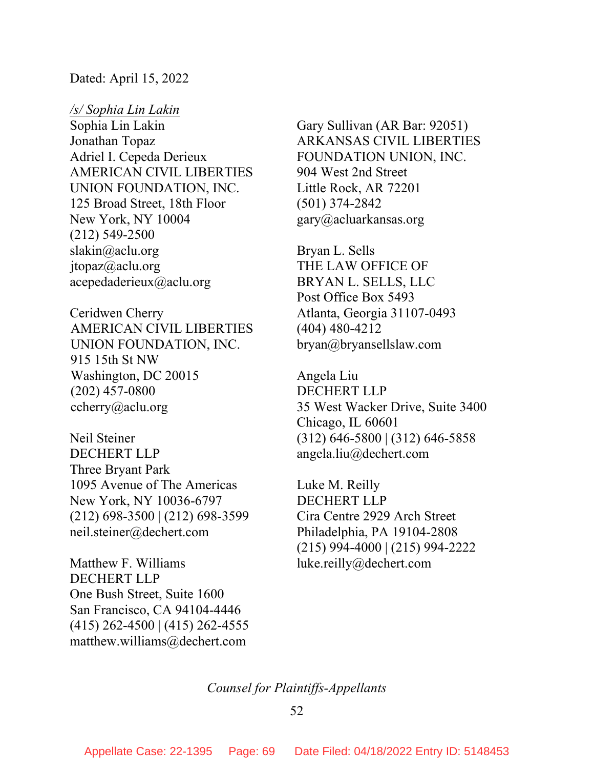#### Dated: April 15, 2022

#### */s/ Sophia Lin Lakin*

Sophia Lin Lakin Jonathan Topaz Adriel I. Cepeda Derieux AMERICAN CIVIL LIBERTIES UNION FOUNDATION, INC. 125 Broad Street, 18th Floor New York, NY 10004 (212) 549-2500 [slakin@aclu.org](mailto:slakin@aclu.org) [jtopaz@aclu.org](mailto:jtopaz@aclu.org) acepedaderieux@aclu.org

Ceridwen Cherry AMERICAN CIVIL LIBERTIES UNION FOUNDATION, INC. 915 15th St NW Washington, DC 20015 (202) 457-0800 [ccherry@aclu.org](mailto:ccherry@aclu.org)

Neil Steiner DECHERT LLP Three Bryant Park 1095 Avenue of The Americas New York, NY 10036-6797 (212) 698-3500 | (212) 698-3599 neil.steiner@dechert.com

Matthew F. Williams DECHERT LLP One Bush Street, Suite 1600 San Francisco, CA 94104-4446 (415) 262-4500 | (415) 262-4555 matthew.williams@dechert.com

Gary Sullivan (AR Bar: 92051) ARKANSAS CIVIL LIBERTIES FOUNDATION UNION, INC. 904 West 2nd Street Little Rock, AR 72201 (501) 374-2842 gary@acluarkansas.org

Bryan L. Sells THE LAW OFFICE OF BRYAN L. SELLS, LLC Post Office Box 5493 Atlanta, Georgia 31107-0493 (404) 480-4212 bryan@bryansellslaw.com

Angela Liu DECHERT LLP 35 West Wacker Drive, Suite 3400 Chicago, IL 60601 (312) 646-5800 | (312) 646-5858 angela.liu@dechert.com

Luke M. Reilly DECHERT LLP Cira Centre 2929 Arch Street Philadelphia, PA 19104-2808 (215) 994-4000 | (215) 994-2222 luke.reilly@dechert.com

*Counsel for Plaintiffs-Appellants*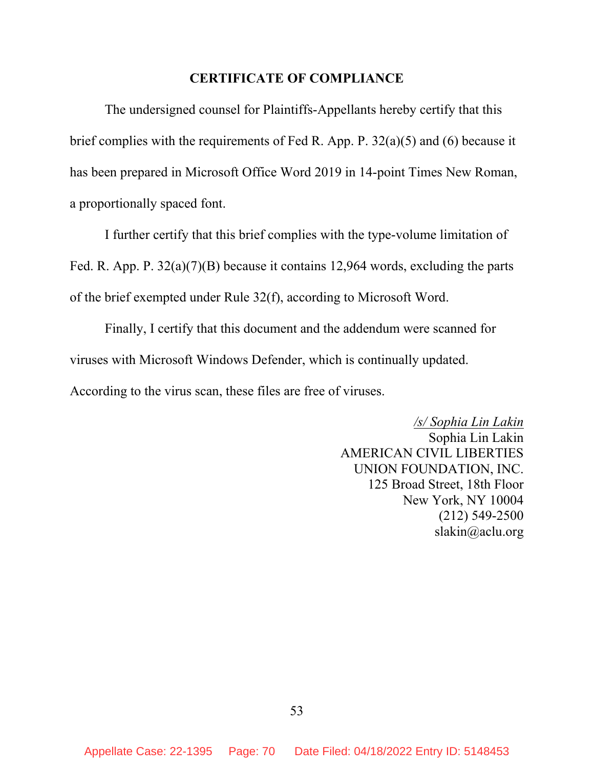#### **CERTIFICATE OF COMPLIANCE**

The undersigned counsel for Plaintiffs-Appellants hereby certify that this brief complies with the requirements of Fed R. App. P. 32(a)(5) and (6) because it has been prepared in Microsoft Office Word 2019 in 14-point Times New Roman, a proportionally spaced font.

I further certify that this brief complies with the type-volume limitation of Fed. R. App. P. 32(a)(7)(B) because it contains 12,964 words, excluding the parts of the brief exempted under Rule 32(f), according to Microsoft Word.

Finally, I certify that this document and the addendum were scanned for viruses with Microsoft Windows Defender, which is continually updated. According to the virus scan, these files are free of viruses.

> */s/ Sophia Lin Lakin*  Sophia Lin Lakin AMERICAN CIVIL LIBERTIES UNION FOUNDATION, INC. 125 Broad Street, 18th Floor New York, NY 10004 (212) 549-2500 slakin@aclu.org